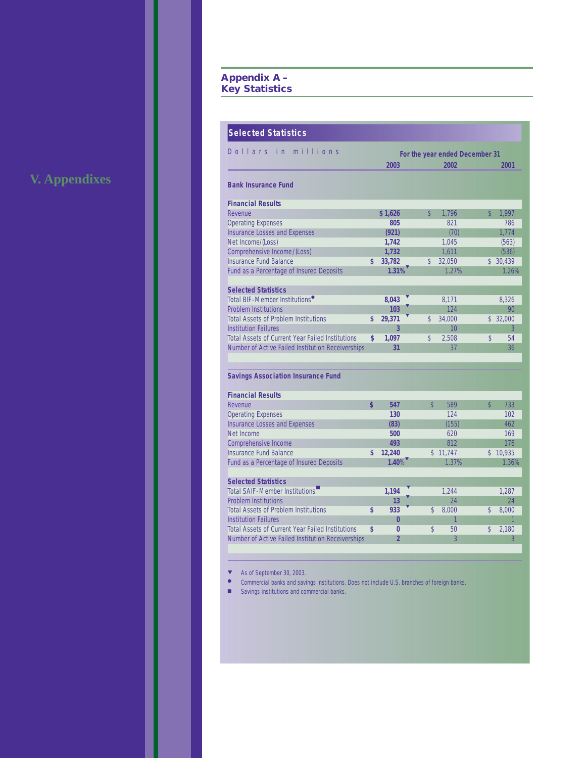# **Appendix A – Key Statistics**

|  |  |  | <b>V. Appendixes</b> |  |
|--|--|--|----------------------|--|
|  |  |  |                      |  |

| <b>Selected Statistics</b>                              |                |                    |                                |                         |          |
|---------------------------------------------------------|----------------|--------------------|--------------------------------|-------------------------|----------|
| Dollars in<br>millions                                  |                |                    | For the year ended December 31 |                         |          |
|                                                         | 2003           |                    | 2002                           |                         | 2001     |
|                                                         |                |                    |                                |                         |          |
| <b>Bank Insurance Fund</b>                              |                |                    |                                |                         |          |
| <b>Financial Results</b>                                |                |                    |                                |                         |          |
| Revenue                                                 | \$1,626        | $\mathbf{\hat{S}}$ | 1,796                          | $\mathbb{S}$            | 1.997    |
| <b>Operating Expenses</b>                               | 805            |                    | 821                            |                         | 786      |
| <b>Insurance Losses and Expenses</b>                    | (921)          |                    | (70)                           |                         | 1,774    |
| Net Income/(Loss)                                       | 1,742          |                    | 1,045                          |                         | (563)    |
| Comprehensive Income/(Loss)                             | 1,732          |                    | 1,611                          |                         | (536)    |
| <b>Insurance Fund Balance</b>                           | \$<br>33,782   | \$                 | 32,050                         |                         | \$30,439 |
| Fund as a Percentage of Insured Deposits                | 1.31%          |                    | 1.27%                          |                         | 1.26%    |
|                                                         |                |                    |                                |                         |          |
| <b>Selected Statistics</b>                              |                |                    |                                |                         |          |
| Total BIF-Member Institutions <sup>•</sup>              | 8,043          |                    | 8,171                          |                         | 8.326    |
| <b>Problem Institutions</b>                             | 103            |                    | 124                            |                         | 90       |
| <b>Total Assets of Problem Institutions</b>             | \$<br>29,371   | $\mathcal{S}$      | 34.000                         |                         | \$32,000 |
| <b>Institution Failures</b>                             | 3              |                    | 10                             |                         | 3        |
| <b>Total Assets of Current Year Failed Institutions</b> | \$<br>1,097    | \$                 | 2.508                          | \$                      | 54       |
| Number of Active Failed Institution Receiverships       | 31             |                    | 37                             |                         | 36       |
|                                                         |                |                    |                                |                         |          |
| <b>Savings Association Insurance Fund</b>               |                |                    |                                |                         |          |
|                                                         |                |                    |                                |                         |          |
| <b>Financial Results</b>                                |                |                    |                                |                         |          |
| Revenue                                                 | \$<br>547      | $\mathbf{\hat{z}}$ | 589                            | $\overline{\mathbb{S}}$ | 733      |
| <b>Operating Expenses</b>                               | 130            |                    | 124                            |                         | 102      |
| <b>Insurance Losses and Expenses</b>                    | (83)           |                    | (155)                          |                         | 462      |
| Net Income                                              | 500            |                    | 620                            |                         | 169      |
| Comprehensive Income                                    | 493            |                    | 812                            |                         | 176      |
| <b>Insurance Fund Balance</b>                           | \$<br>12,240   | \$                 | 11,747                         | \$                      | 10,935   |
| Fund as a Percentage of Insured Deposits                | $1.40\%$       |                    | 1.37%                          |                         | 1.36%    |
| <b>Selected Statistics</b>                              |                |                    |                                |                         |          |
| Total SAIF-Member Institutions                          | 1,194          |                    | 1.244                          |                         | 1.287    |
| <b>Problem Institutions</b>                             | 13             |                    | 24                             |                         | 24       |
| <b>Total Assets of Problem Institutions</b>             | \$<br>933      | \$                 | 8,000                          | \$                      | 8.000    |
| <b>Institution Failures</b>                             | $\bf{0}$       |                    | 1                              |                         |          |
| <b>Total Assets of Current Year Failed Institutions</b> | \$<br>0        | \$                 | 50                             | \$                      | 2.180    |
| Number of Active Failed Institution Receiverships       | $\overline{2}$ |                    | $\overline{3}$                 |                         | 3        |
|                                                         |                |                    |                                |                         |          |

- ▼ As of September 30, 2003.
- Commercial banks and savings institutions. Does not include U.S. branches of foreign banks.
- Savings institutions and commercial banks.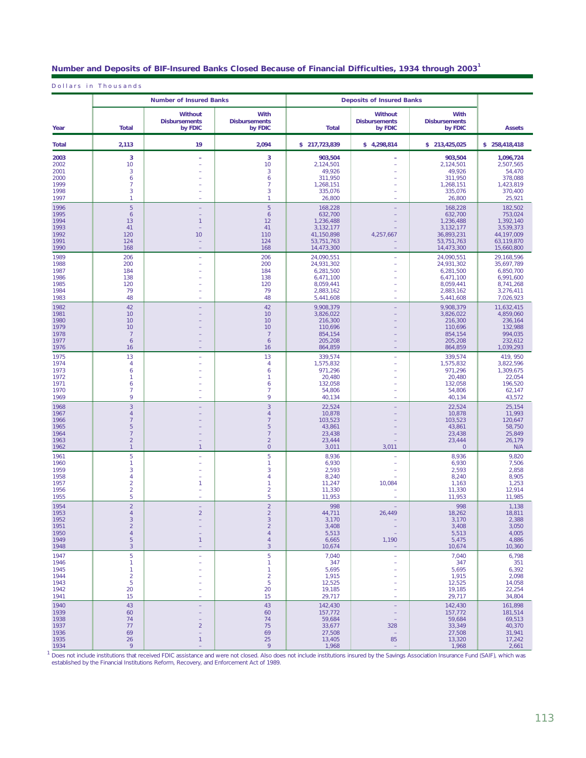|  | Number and Deposits of BIF-Insured Banks Closed Because of Financial Difficulties, 1934 through 2003 ่ |  |
|--|--------------------------------------------------------------------------------------------------------|--|
|  |                                                                                                        |  |

Dollars in Thousands

|                                                      |                                                                                   | <b>Number of Insured Banks</b>                    |                                                                                                             |                                                                                           | <b>Deposits of Insured Banks</b>                                              |                                                                                           |                                                                                           |
|------------------------------------------------------|-----------------------------------------------------------------------------------|---------------------------------------------------|-------------------------------------------------------------------------------------------------------------|-------------------------------------------------------------------------------------------|-------------------------------------------------------------------------------|-------------------------------------------------------------------------------------------|-------------------------------------------------------------------------------------------|
| Year                                                 | <b>Total</b>                                                                      | <b>Without</b><br><b>Disbursements</b><br>by FDIC | With<br><b>Disbursements</b><br>by FDIC                                                                     | <b>Total</b>                                                                              | <b>Without</b><br><b>Disbursements</b><br>by FDIC                             | With<br><b>Disbursements</b><br>by FDIC                                                   | <b>Assets</b>                                                                             |
| <b>Total</b>                                         | 2,113                                                                             | 19                                                | 2,094                                                                                                       | \$217,723,839                                                                             | \$4,298,814                                                                   | \$213,425,025                                                                             | \$258,418,418                                                                             |
| 2003<br>2002<br>2001<br>2000<br>1999<br>1998<br>1997 | 3<br>10<br>3<br>6<br>7<br>3<br>1                                                  | ۳                                                 | $\mathbf{3}$<br>10<br>3<br>6<br>$\overline{7}$<br>3<br>1                                                    | 903,504<br>2,124,501<br>49,926<br>311,950<br>1,268,151<br>335,076<br>26,800               | ÷.                                                                            | 903,504<br>2,124,501<br>49,926<br>311,950<br>1,268,151<br>335,076<br>26,800               | 1,096,724<br>2,507,565<br>54,470<br>378,088<br>1,423,819<br>370,400<br>25,921             |
| 1996<br>1995<br>1994<br>1993<br>1992<br>1991<br>1990 | 5<br>6<br>13<br>41<br>120<br>124<br>168                                           | 1<br>10                                           | 5<br>6<br>12<br>41<br>110<br>124<br>168                                                                     | 168,228<br>632,700<br>1,236,488<br>3,132,177<br>41,150,898<br>53,751,763<br>14,473,300    | 4,257,667<br>$\equiv$                                                         | 168,228<br>632,700<br>1,236,488<br>3,132,177<br>36,893,231<br>53,751,763<br>14,473,300    | 182.502<br>753.024<br>1.392.140<br>3,539,373<br>44,197,009<br>63,119,870<br>15,660,800    |
| 1989<br>1988<br>1987<br>1986<br>1985<br>1984<br>1983 | 206<br>200<br>184<br>138<br>120<br>79<br>48                                       |                                                   | 206<br>200<br>184<br>138<br>120<br>79<br>48                                                                 | 24,090,551<br>24,931,302<br>6,281,500<br>6,471,100<br>8.059.441<br>2,883,162<br>5,441,608 |                                                                               | 24,090,551<br>24,931,302<br>6,281,500<br>6,471,100<br>8,059,441<br>2,883,162<br>5,441,608 | 29,168,596<br>35,697,789<br>6,850,700<br>6.991.600<br>8,741,268<br>3,276,411<br>7,026,923 |
| 1982<br>1981<br>1980<br>1979<br>1978<br>1977<br>1976 | 42<br>10<br>10<br>10<br>$\overline{7}$<br>6<br>16                                 |                                                   | 42<br>10<br>10<br>10<br>7<br>6<br>16                                                                        | 9,908,379<br>3,826,022<br>216,300<br>110,696<br>854,154<br>205.208<br>864,859             | ٠                                                                             | 9,908,379<br>3.826.022<br>216,300<br>110,696<br>854,154<br>205,208<br>864,859             | 11,632,415<br>4,859,060<br>236,164<br>132,988<br>994,035<br>232,612<br>1,039,293          |
| 1975<br>1974<br>1973<br>1972<br>1971<br>1970<br>1969 | 13<br>4<br>6<br>1<br>6<br>$\overline{7}$<br>9                                     |                                                   | 13<br>$\overline{4}$<br>6<br>$\overline{1}$<br>6<br>$\overline{7}$<br>9                                     | 339,574<br>1,575,832<br>971,296<br>20,480<br>132,058<br>54,806<br>40,134                  | ÷,                                                                            | 339,574<br>1,575,832<br>971,296<br>20,480<br>132,058<br>54,806<br>40,134                  | 419, 950<br>3,822,596<br>1,309,675<br>22,054<br>196,520<br>62,147<br>43,572               |
| 1968<br>1967<br>1966<br>1965<br>1964<br>1963<br>1962 | 3<br>$\overline{4}$<br>$\overline{7}$<br>5<br>7<br>$\overline{2}$<br>$\mathbf{1}$ | $\mathbf{1}$                                      | $\overline{3}$<br>$\overline{4}$<br>$\overline{7}$<br>5<br>$\overline{7}$<br>$\overline{2}$<br>$\circ$      | 22,524<br>10,878<br>103,523<br>43,861<br>23,438<br>23,444<br>3,011                        | 3,011                                                                         | 22,524<br>10,878<br>103,523<br>43,861<br>23,438<br>23,444<br>$\overline{0}$               | 25,154<br>11,993<br>120,647<br>58,750<br>25,849<br>26,179<br>N/A                          |
| 1961<br>1960<br>1959<br>1958<br>1957<br>1956<br>1955 | 5<br>1<br>3<br>4<br>$\overline{2}$<br>$\overline{a}$<br>5                         | 1.                                                | $\overline{5}$<br>1<br>3<br>$\overline{4}$<br>$\overline{1}$<br>$\overline{2}$<br>5                         | 8,936<br>6,930<br>2,593<br>8,240<br>11,247<br>11,330<br>11,953                            | 10,084<br>÷.                                                                  | 8,936<br>6,930<br>2,593<br>8,240<br>1,163<br>11,330<br>11,953                             | 9,820<br>7,506<br>2,858<br>8,905<br>1,253<br>12,914<br>11,985                             |
| 1954<br>1953<br>1952<br>1951<br>1950<br>1949<br>1948 | $\overline{a}$<br>$\overline{4}$<br>З<br>$\overline{c}$<br>4<br>5<br>3            | $\overline{a}$<br>$\overline{2}$<br>1             | $\overline{2}$<br>$\overline{2}$<br>3<br>$\overline{2}$<br>$\overline{4}$<br>$\overline{4}$<br>$\mathbf{3}$ | 998<br>44,711<br>3,170<br>3,408<br>5,513<br>6,665<br>10,674                               | 26.449<br>1,190                                                               | 998<br>18,262<br>3,170<br>3,408<br>5,513<br>5,475<br>10,674                               | 1,138<br>18,811<br>2,388<br>3,050<br>4,005<br>4,886<br>10,360                             |
| 1947<br>1946<br>1945<br>1944<br>1943<br>1942<br>1941 | 5<br>1<br>1<br>$\overline{a}$<br>5<br>20<br>15                                    |                                                   | $\overline{5}$<br>1<br>$\mathbf{1}$<br>$\overline{2}$<br>$\sqrt{5}$<br>20<br>15                             | 7,040<br>347<br>5,695<br>1,915<br>12,525<br>19,185<br>29,717                              | $\overline{\phantom{a}}$                                                      | 7,040<br>347<br>5,695<br>1,915<br>12,525<br>19,185<br>29,717                              | 6,798<br>351<br>6,392<br>2,098<br>14,058<br>22,254<br>34,804                              |
| 1940<br>1939<br>1938<br>1937<br>1936<br>1935<br>1024 | 43<br>60<br>74<br>77<br>69<br>26                                                  | $\overline{a}$<br>÷<br>1                          | 43<br>60<br>74<br>75<br>69<br>25                                                                            | 142,430<br>157,772<br>59,684<br>33,677<br>27,508<br>13,405<br>1.049                       | $\qquad \qquad -$<br>$\qquad \qquad -$<br>$\qquad \qquad -$<br>328<br>٠<br>85 | 142,430<br>157,772<br>59,684<br>33,349<br>27,508<br>13,320<br>1040                        | 161,898<br>181,514<br>69,513<br>40,370<br>31,941<br>17,242                                |

1,968 – 1,968 2,661<br>1 December include institutions that received EDIC escistance and were not closed. Also does not include institutions incured by the Savings Acceptibin Incurance Eurol (SAIE) which we Does not include institutions that received FDIC assistance and were not closed. Also does not include institutions insured by the Savings Association Insurance Fund (SAIF), which was<br>established by the Financial Instituti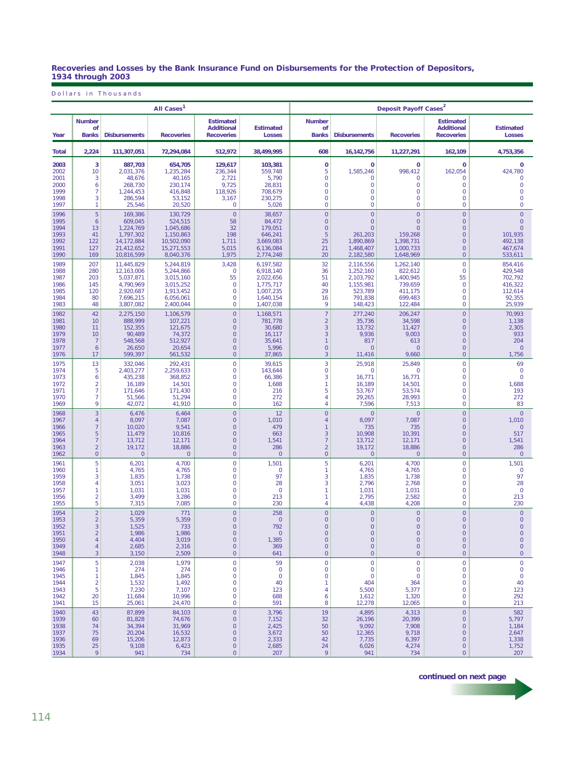#### **Recoveries and Losses by the Bank Insurance Fund on Disbursements for the Protection of Depositors, 1934 through 2003**

Dollars in Thousands

|              |                                     |                      | All Cases <sup>1</sup> |                                                            |                                   | Deposit Payoff Cases <sup>2</sup>          |                      |                     |                                                            |                            |  |
|--------------|-------------------------------------|----------------------|------------------------|------------------------------------------------------------|-----------------------------------|--------------------------------------------|----------------------|---------------------|------------------------------------------------------------|----------------------------|--|
| Year         | <b>Number</b><br>οf<br><b>Banks</b> | <b>Disbursements</b> | <b>Recoveries</b>      | <b>Estimated</b><br><b>Additional</b><br><b>Recoveries</b> | <b>Estimated</b><br><b>Losses</b> | <b>Number</b><br><b>of</b><br><b>Banks</b> | <b>Disbursements</b> | <b>Recoveries</b>   | <b>Estimated</b><br><b>Additional</b><br><b>Recoveries</b> | <b>Estimated</b><br>Losses |  |
| <b>Total</b> | 2,224                               | 111,307,051          | 72,294,084             | 512,972                                                    | 38,499,995                        | 608                                        | 16,142,756           | 11,227,291          | 162,109                                                    | 4,753,356                  |  |
| 2003         | 3                                   | 887,703              | 654,705                | 129,617                                                    | 103,381                           | 0                                          | $\mathbf 0$          | 0                   | 0                                                          | $\mathbf{0}$               |  |
| 2002         | 10                                  | 2,031,376            | 1,235,284              | 236,344                                                    | 559,748                           | 5                                          | 1,585,246            | 998,412             | 162,054                                                    | 424,780                    |  |
| 2001         | 3                                   | 48,676               | 40,165                 | 2,721                                                      | 5,790                             | $\mathbf 0$                                | $\Omega$             | 0                   | $\overline{0}$                                             | $\overline{0}$             |  |
| 2000         | 6                                   | 268,730              | 230,174                | 9,725                                                      | 28,831                            | $\mathbf 0$                                | $\circ$              | 0                   | $\mathbf 0$                                                | 0                          |  |
| 1999         | $\overline{7}$                      | 1.244.453            | 416,848                | 118,926                                                    | 708,679                           | $\mathbf 0$                                | $\circ$              | $\overline{0}$      | $\overline{0}$                                             | $\overline{0}$             |  |
| 1998         | 3                                   | 286,594              | 53,152                 | 3,167                                                      | 230,275                           | $\mathbf 0$                                | $\overline{0}$       | $\overline{0}$      | $\mathbf 0$                                                | $\overline{0}$             |  |
| 1997         | 1                                   | 25,546               | 20,520                 | $\circ$                                                    | 5,026                             | $\mathbf 0$                                | $\circ$              | $\overline{0}$      | 0                                                          | 0                          |  |
| 1996         | $\overline{5}$                      | 169,386              | 130,729                | $\mathbf{0}$                                               | 38,657                            | $\overline{0}$                             | $\overline{0}$       | $\overline{0}$      | $\overline{0}$                                             | $\overline{0}$             |  |
| 1995         | $\ddot{\mathbf{6}}$                 | 609,045              | 524,515                | 58                                                         | 84,472                            | $\overline{0}$                             | $\mathbf{0}$         | $\overline{0}$      | $\mathbf 0$                                                | $\overline{0}$             |  |
| 1994         | 13                                  | 1,224,769            | 1,045,686              | 32                                                         | 179,051                           | $\overline{0}$                             | $\mathbf{O}$         | $\overline{0}$      | $\overline{0}$                                             | $\overline{0}$             |  |
| 1993         | 41                                  | 1,797,302            | 1,150,863              | 198                                                        | 646,241                           | 5                                          | 261,203              | 159,268             | $\overline{0}$                                             | 101,935                    |  |
| 1992         | 122                                 | 14,172,884           | 10,502,090             | 1,711                                                      | 3,669,083                         | 25                                         | 1,890,869            | 1,398,731           | $\overline{0}$                                             | 492,138                    |  |
| 1991         | 127                                 | 21,412,652           | 15,271,553             | 5,015                                                      | 6,136,084                         | 21                                         | 1,468,407            | 1,000,733           | $\mathbf 0$                                                | 467,674                    |  |
| 1990         | 169                                 | 10,816,599           | 8,040,376              | 1,975                                                      | 2,774,248                         | 20                                         | 2,182,580            | 1,648,969           | $\overline{0}$                                             | 533,611                    |  |
| 1989         | 207                                 | 11,445,829           | 5,244,819              | 3,428                                                      | 6,197,582                         | 32                                         | 2,116,556            | 1,262,140           | $\mathbf 0$                                                | 854,416                    |  |
| 1988         | 280                                 | 12,163,006           | 5,244,866              | $\circ$                                                    | 6,918,140                         | 36                                         | 1,252,160            | 822,612             | $\mathbf 0$                                                | 429,548                    |  |
| 1987         | 203                                 | 5,037,871            | 3,015,160              | 55                                                         | 2,022,656                         | 51                                         | 2,103,792            | 1,400,945           | 55                                                         | 702,792                    |  |
| 1986         | 145                                 | 4.790.969            | 3,015,252              | $\mathbf 0$                                                | 1,775,717                         | 40                                         | 1,155,981            | 739,659             | $\mathbf 0$                                                | 416,322                    |  |
| 1985         | 120                                 | 2,920,687            | 1,913,452              | $\mathbf 0$                                                | 1,007,235                         | 29                                         | 523,789              | 411,175             | $\mathbf 0$                                                | 112,614                    |  |
| 1984         | 80                                  | 7,696,215            | 6,056,061              | $\mathbf{0}$                                               | 1,640,154                         | 16                                         | 791,838              | 699,483             | $\overline{0}$                                             | 92,355                     |  |
| 1983         | 48                                  | 3,807,082            | 2,400,044              | $\mathbf 0$                                                | 1,407,038                         | 9                                          | 148,423              | 122,484             | $\mathbf 0$                                                | 25,939                     |  |
| 1982         | 42                                  | 2,275,150            | 1,106,579              | $\mathsf{O}\xspace$                                        | 1,168,571                         | $\overline{7}$                             | 277,240              | 206,247             | $\overline{0}$                                             | 70,993                     |  |
| 1981         | 10                                  | 888,999              | 107,221                | $\overline{0}$                                             | 781,778                           | $\overline{2}$                             | 35,736               | 34.598              | $\overline{0}$                                             | 1,138                      |  |
| 1980         | 11                                  | 152,355              | 121,675                | $\circ$                                                    | 30,680                            | 3                                          | 13,732               | 11,427              | $\overline{0}$                                             | 2,305                      |  |
| 1979         | 10                                  | 90,489               | 74,372                 | $\circ$                                                    | 16,117                            | 3                                          | 9,936                | 9,003               | $\mathbf 0$                                                | 933                        |  |
| 1978         | $\overline{7}$                      | 548,568              | 512,927                | $\circ$                                                    | 35,641                            | $\overline{1}$                             | 817                  | 613                 | $\overline{0}$                                             | 204                        |  |
| 1977         | $\ddot{\mathbf{6}}$                 | 26,650               | 20,654                 | $\circ$                                                    | 5,996                             | $\overline{0}$                             | $\overline{0}$       | $\overline{0}$      | $\mathbf 0$                                                | $\mathbf{0}$               |  |
| 1976         | 17                                  | 599,397              | 561,532                | $\circ$                                                    | 37,865                            | 3                                          | 11,416               | 9,660               | $\overline{0}$                                             | 1,756                      |  |
| 1975         | 13                                  | 332,046              | 292,431                | $\mathbf{O}$                                               | 39,615                            | $\overline{3}$                             | 25.918               | 25,849              | $\overline{0}$                                             | 69                         |  |
| 1974         | 5                                   | 2,403,277            | 2,259,633              | $\mathbf 0$                                                | 143,644                           | $\mathbf 0$                                | $\mathbf{0}$         | 0                   | $\mathbf 0$                                                | $\mathbf 0$                |  |
| 1973         | 6                                   | 435,238              | 368,852                | $\mathbf 0$                                                | 66,386                            | 3                                          | 16,771               | 16,771              | 0                                                          | $\overline{0}$             |  |
| 1972         | $\overline{2}$                      | 16,189               | 14,501                 | $\circ$                                                    | 1,688                             | $\mathbf{1}$                               | 16,189               | 14,501              | $\overline{0}$                                             | 1,688                      |  |
| 1971         | $\overline{7}$                      | 171,646              | 171,430                | $\mathbf 0$                                                | 216                               | 5                                          | 53,767               | 53,574              | $\mathbf 0$                                                | 193                        |  |
| 1970         | $\overline{7}$                      | 51,566               | 51,294                 | $\mathbf 0$                                                | 272                               | $\overline{4}$                             | 29,265               | 28,993              | $\mathbf 0$                                                | 272                        |  |
| 1969         | 9                                   | 42,072               | 41,910                 | $\mathbf{0}$                                               | 162                               | $\overline{4}$                             | 7,596                | 7,513               | $\overline{0}$                                             | 83                         |  |
| 1968         | 3                                   | 6,476                | 6,464                  | $\mathsf{O}\xspace$                                        | 12                                | $\mathsf{O}\xspace$                        | $\overline{0}$       | $\overline{0}$      | $\overline{0}$                                             | $\overline{0}$             |  |
| 1967         | $\overline{4}$                      | 8,097                | 7,087                  | $\circ$                                                    | 1,010                             | $\overline{4}$                             | 8,097                | 7,087               | $\mathbf 0$                                                | 1,010                      |  |
| 1966         | $\overline{7}$                      | 10,020               | 9,541                  | $\circ$                                                    | 479                               | $\mathbf{1}$                               | 735                  | 735                 | $\overline{0}$                                             | $\overline{0}$             |  |
| 1965         | 5                                   | 11,479               | 10,816                 | $\circ$                                                    | 663                               | 3                                          | 10,908               | 10,391              | $\mathbf 0$                                                | 517                        |  |
| 1964         | $\overline{7}$                      | 13,712               | 12,171                 | $\circ$                                                    | 1,541                             | $\overline{7}$                             | 13,712               | 12,171              | $\overline{0}$                                             | 1,541                      |  |
| 1963         | $\overline{2}$                      | 19,172               | 18,886                 | $\circ$                                                    | 286                               | $\overline{a}$                             | 19,172               | 18,886              | $\overline{0}$                                             | 286                        |  |
| 1962         | $\mathsf{O}\xspace$                 | $\circ$              | $\mathbf{0}$           | $\circ$                                                    | $\mathbf 0$                       | $\mathbf 0$                                | $\circ$              | $\overline{0}$      | $\mathbf 0$                                                | $\mathbf{0}$               |  |
| 1961         | 5                                   | 6,201                | 4,700                  | $\mathsf{O}\xspace$                                        | 1,501                             | 5                                          | 6,201                | 4,700               | $\mathbf 0$                                                | 1,501                      |  |
| 1960         | 1                                   | 4,765                | 4,765                  | $\mathbf{0}$                                               | $\mathbf{0}$                      | 1                                          | 4,765                | 4,765               | $\overline{0}$                                             | $\mathbf 0$                |  |
| 1959         | 3                                   | 1,835                | 1,738                  | $\mathbf 0$                                                | 97                                | 3                                          | 1,835                | 1,738               | $\mathbf 0$                                                | 97                         |  |
| 1958         | $\overline{4}$                      | 3,051                | 3,023                  | $\mathbf 0$                                                | 28                                | 3                                          | 2,796                | 2,768               | $\mathbf 0$                                                | 28                         |  |
| 1957         | 1                                   | 1,031                | 1,031                  | $\circ$                                                    | $\overline{0}$                    | $\mathbf{1}$                               | 1,031                | 1,031               | $\overline{0}$                                             | $\overline{0}$             |  |
| 1956         | $\overline{2}$                      | 3,499                | 3,286                  | $\mathbf 0$                                                | 213                               | $\mathbf{1}$                               | 2,795                | 2,582               | $\mathbf 0$                                                | 213                        |  |
| 1955         | 5                                   | 7,315                | 7,085                  | $\mathbf 0$                                                | 230                               | $\overline{4}$                             | 4,438                | 4,208               | 0                                                          | 230                        |  |
| 1954         | $\overline{2}$                      | 1,029                | 771                    | $\mathbf{0}$                                               | 258                               | $\overline{0}$                             | $\overline{0}$       | $\overline{0}$      | $\overline{0}$                                             | $\overline{0}$             |  |
| 1953         | $\overline{2}$                      | 5,359                | 5,359                  | $\circ$                                                    | $\mathbf 0$                       | $\mathbf 0$                                | $\overline{0}$       | $\mathbf 0$         | $\mathbf{O}$                                               | $\mathbf 0$                |  |
| 1952         | 3                                   | 1,525                | 733                    | $\circ$                                                    | 792                               | $\mathbf 0$                                | $\circ$              | 0                   | $\boldsymbol{0}$                                           | $\mathsf{O}\xspace$        |  |
| 1951         | $\overline{a}$                      | 1,986                | 1,986                  | $\circ$                                                    | $\overline{0}$                    | $\circ$                                    | $\circ$              | $\mathbf{0}$        | $\mathbf 0$                                                | $\mathbf 0$                |  |
| 1950         | $\overline{4}$                      | 4,404                | 3,019                  | $\mathsf{O}\xspace$                                        | 1,385                             | $\mathsf{O}\xspace$                        | $\overline{0}$       | $\mathbf 0$         | $\mathbf 0$                                                | $\mathbf 0$                |  |
| 1949         | $\overline{4}$                      | 2,685                | 2,316                  | $\circ$                                                    | 369                               | $\mathsf{O}\xspace$                        | $\circ$              | $\mathsf{O}\xspace$ | $\mathsf{O}\xspace$                                        | $\mathsf{O}\xspace$        |  |
| 1948         | $\mathbf{3}$                        | 3,150                | 2,509                  | $\circ$                                                    | 641                               | $\mathbf{0}$                               | $\circ$              | $\mathbf{0}$        | $\mathbf{O}$                                               | $\mathbf{0}$               |  |
| 1947         | 5                                   | 2,038                | 1,979                  | $\mathsf{O}\xspace$                                        | 59                                | $\mathsf{O}\xspace$                        | $\mathbf 0$          | 0                   | $\mathbf 0$                                                | 0                          |  |
| 1946         | 1                                   | 274                  | 274                    | $\mathsf{O}\xspace$                                        | $\circ$                           | $\mathsf{O}\xspace$                        | $\mathbf 0$          | $\mathbf 0$         | $\mathsf{O}\xspace$                                        | $\mathsf{O}\xspace$        |  |
| 1945         | 1                                   | 1,845                | 1,845                  | $\circ$                                                    | $\circ$                           | 0                                          | $\circ$              | $\mathbf{0}$        | $\mathbf 0$                                                | $\mathbf 0$                |  |
| 1944         | $\overline{2}$                      | 1,532                | 1,492                  | $\mathsf{O}\xspace$                                        | 40                                | 1                                          | 404                  | 364                 | $\mathsf{O}\xspace$                                        | 40                         |  |
| 1943         | 5                                   | 7,230                | 7,107                  | $\circ$                                                    | 123                               | 4                                          | 5,500                | 5,377               | 0                                                          | 123                        |  |
| 1942         | 20                                  | 11,684               | 10,996                 | $\mathbf 0$                                                | 688                               | 6                                          | 1,612                | 1,320               | $\mathbf 0$                                                | 292                        |  |
| 1941         | 15                                  | 25,061               | 24,470                 | $\mathbf 0$                                                | 591                               | 8                                          | 12,278               | 12,065              | $\mathsf{O}$                                               | 213                        |  |
| 1940         | 43                                  | 87,899               | 84,103                 | $\mathsf{O}\xspace$                                        | 3,796                             | 19                                         | 4,895                | 4,313               | $\mathsf{O}\xspace$                                        | 582                        |  |
| 1939         | 60                                  | 81,828               | 74,676                 | $\circ$                                                    | 7,152                             | 32                                         | 26,196               | 20,399              | $\mathbf 0$                                                | 5,797                      |  |
| 1938         | 74                                  | 34,394               | 31,969                 | $\circ$                                                    | 2,425                             | 50                                         | 9,092                | 7,908               | $\mathsf{O}\xspace$                                        | 1,184                      |  |
| 1937         | 75                                  | 20,204               | 16,532                 | $\circ$                                                    | 3,672                             | 50                                         | 12,365               | 9,718               | $\mathsf{O}\xspace$                                        | 2,647                      |  |
| 1936         | 69                                  | 15,206               | 12,873                 | $\circ$                                                    | 2,333                             | 42                                         | 7,735                | 6,397               | $\circ$                                                    | 1,338                      |  |
| 1935         | 25                                  | 9,108                | 6,423                  | $\circ$                                                    | 2,685                             | 24                                         | 6,026                | 4,274               | $\mathsf{O}\xspace$                                        | 1,752                      |  |
| 1934         | 9                                   | 941                  | 734                    | $\mathsf{O}\xspace$                                        | 207                               | 9                                          | 941                  | 734                 | $\mathsf{O}\xspace$                                        | 207                        |  |

*continued on next page*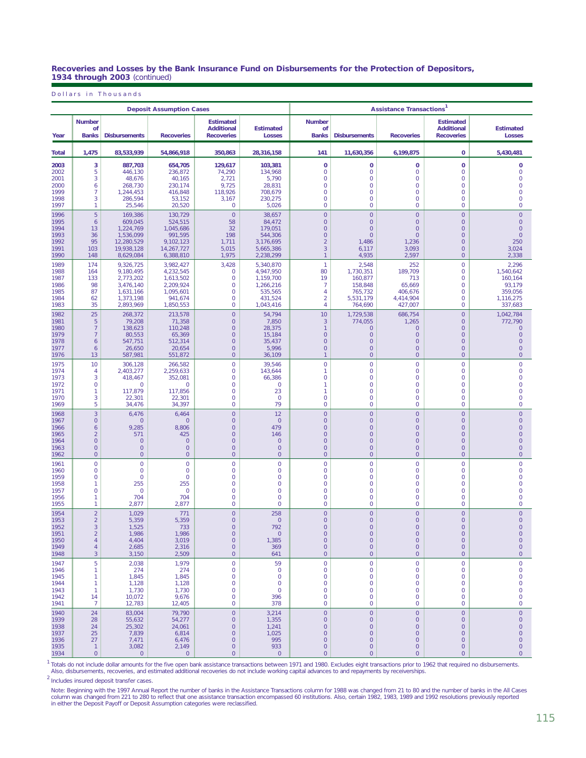#### **Recoveries and Losses by the Bank Insurance Fund on Disbursements for the Protection of Depositors, 1934 through 2003** (continued)

Dollars in Thousands

|                                                      |                                                                                                             |                                                             | <b>Deposit Assumption Cases</b>                           |                                                                                                         |                                                                       | <b>Assistance Transactions<sup>1</sup></b>                                                                               |                                                                                                                  |                                                                                                   |                                                                                                                         |                                                                                                                          |  |
|------------------------------------------------------|-------------------------------------------------------------------------------------------------------------|-------------------------------------------------------------|-----------------------------------------------------------|---------------------------------------------------------------------------------------------------------|-----------------------------------------------------------------------|--------------------------------------------------------------------------------------------------------------------------|------------------------------------------------------------------------------------------------------------------|---------------------------------------------------------------------------------------------------|-------------------------------------------------------------------------------------------------------------------------|--------------------------------------------------------------------------------------------------------------------------|--|
| Year                                                 | <b>Number</b><br>οf<br><b>Banks</b>                                                                         | <b>Disbursements</b>                                        | <b>Recoveries</b>                                         | <b>Estimated</b><br><b>Additional</b><br><b>Recoveries</b>                                              | <b>Estimated</b><br><b>Losses</b>                                     | <b>Number</b><br>οf<br><b>Banks</b>                                                                                      | <b>Disbursements</b>                                                                                             | <b>Recoveries</b>                                                                                 | <b>Estimated</b><br><b>Additional</b><br><b>Recoveries</b>                                                              | <b>Estimated</b><br>Losses                                                                                               |  |
| <b>Total</b>                                         | 1,475                                                                                                       | 83,533,939                                                  | 54.866.918                                                | 350,863                                                                                                 | 28,316,158                                                            | 141                                                                                                                      | 11,630,356                                                                                                       | 6,199,875                                                                                         | $\mathbf 0$                                                                                                             | 5,430,481                                                                                                                |  |
| 2003                                                 | 3                                                                                                           | 887,703                                                     | 654,705                                                   | 129,617                                                                                                 | 103,381                                                               | 0                                                                                                                        | 0                                                                                                                | $\bf{0}$                                                                                          | $\mathbf 0$                                                                                                             | $\pmb{0}$                                                                                                                |  |
| 2002                                                 | 5                                                                                                           | 446,130                                                     | 236,872                                                   | 74,290                                                                                                  | 134,968                                                               | 0                                                                                                                        | $\mathbf 0$                                                                                                      | $\mathbf 0$                                                                                       | $\mathbf 0$                                                                                                             | $\mathsf{O}\xspace$                                                                                                      |  |
| 2001                                                 | 3                                                                                                           | 48,676                                                      | 40,165                                                    | 2,721                                                                                                   | 5,790                                                                 | $\mathbf 0$                                                                                                              | $\overline{0}$                                                                                                   | $\mathbf{0}$                                                                                      | $\circ$                                                                                                                 | $\overline{0}$                                                                                                           |  |
| 2000                                                 | 6                                                                                                           | 268,730                                                     | 230,174                                                   | 9,725                                                                                                   | 28,831                                                                | $\mathbf 0$                                                                                                              | $\mathbf 0$                                                                                                      | $\mathbf 0$                                                                                       | $\overline{0}$                                                                                                          | $\mathbf 0$                                                                                                              |  |
| 1999                                                 | $\overline{7}$                                                                                              | 1,244,453                                                   | 416,848                                                   | 118,926                                                                                                 | 708,679                                                               | 0                                                                                                                        | $\mathbf 0$                                                                                                      | $\mathbf 0$                                                                                       | $\mathbf 0$                                                                                                             | $\mathbf 0$                                                                                                              |  |
| 1998                                                 | 3                                                                                                           | 286,594                                                     | 53,152                                                    | 3,167                                                                                                   | 230,275                                                               | $\mathbf 0$                                                                                                              | $\overline{0}$                                                                                                   | $\mathbf{0}$                                                                                      | $\overline{0}$                                                                                                          | $\mathbf 0$                                                                                                              |  |
| 1997                                                 | 1                                                                                                           | 25,546                                                      | 20,520                                                    | 0                                                                                                       | 5,026                                                                 | 0                                                                                                                        | $\mathbf 0$                                                                                                      | $\mathbf 0$                                                                                       | $\mathbf 0$                                                                                                             | $\mathbf 0$                                                                                                              |  |
| 1996                                                 | 5                                                                                                           | 169,386                                                     | 130,729                                                   | $\overline{0}$                                                                                          | 38,657                                                                | $\overline{0}$                                                                                                           | $\overline{0}$                                                                                                   | $\overline{0}$                                                                                    | $\mathbf{0}$                                                                                                            | $\overline{0}$                                                                                                           |  |
| 1995                                                 | 6                                                                                                           | 609,045                                                     | 524.515                                                   | 58                                                                                                      | 84,472                                                                | $\mathsf{O}\xspace$                                                                                                      | $\overline{0}$                                                                                                   | $\overline{0}$                                                                                    | $\overline{0}$                                                                                                          | $\circ$                                                                                                                  |  |
| 1994                                                 | 13                                                                                                          | 1,224,769                                                   | 1,045,686                                                 | 32                                                                                                      | 179,051                                                               | $\boldsymbol{0}$                                                                                                         | $\overline{0}$                                                                                                   | $\mathbf 0$                                                                                       | $\mathbf{0}$                                                                                                            | $\circ$                                                                                                                  |  |
| 1993                                                 | 36                                                                                                          | 1,536,099                                                   | 991,595                                                   | 198                                                                                                     | 544,306                                                               | $\boldsymbol{0}$                                                                                                         | $\overline{0}$                                                                                                   | $\overline{0}$                                                                                    | $\overline{0}$                                                                                                          | $\circ$                                                                                                                  |  |
| 1992                                                 | 95                                                                                                          | 12,280,529                                                  | 9,102,123                                                 | 1,711                                                                                                   | 3,176,695                                                             | $\sqrt{2}$                                                                                                               | 1,486                                                                                                            | 1,236                                                                                             | $\overline{0}$                                                                                                          | 250                                                                                                                      |  |
| 1991                                                 | 103                                                                                                         | 19,938,128                                                  | 14,267,727                                                | 5,015                                                                                                   | 5,665,386                                                             | $\overline{3}$                                                                                                           | 6,117                                                                                                            | 3,093                                                                                             | $\overline{0}$                                                                                                          | 3,024                                                                                                                    |  |
| 1990                                                 | 148                                                                                                         | 8,629,084                                                   | 6,388,810                                                 | 1,975                                                                                                   | 2,238,299                                                             | $\mathbf{1}$                                                                                                             | 4,935                                                                                                            | 2,597                                                                                             | $\mathbf{0}$                                                                                                            | 2,338                                                                                                                    |  |
| 1989                                                 | 174                                                                                                         | 9,326,725                                                   | 3,982,427                                                 | 3.428                                                                                                   | 5,340,870                                                             | $\mathbf{1}$                                                                                                             | 2,548                                                                                                            | 252                                                                                               | $\overline{0}$                                                                                                          | 2,296                                                                                                                    |  |
| 1988                                                 | 164                                                                                                         | 9,180,495                                                   | 4,232,545                                                 | $\mathbf 0$                                                                                             | 4,947,950                                                             | 80                                                                                                                       | 1,730,351                                                                                                        | 189,709                                                                                           | $\overline{0}$                                                                                                          | 1,540,642                                                                                                                |  |
| 1987                                                 | 133                                                                                                         | 2,773,202                                                   | 1,613,502                                                 | 0                                                                                                       | 1,159,700                                                             | 19                                                                                                                       | 160,877                                                                                                          | 713                                                                                               | $\mathbf 0$                                                                                                             | 160,164                                                                                                                  |  |
| 1986                                                 | 98                                                                                                          | 3,476,140                                                   | 2,209,924                                                 | $\mathbf{0}$                                                                                            | 1.266.216                                                             | 7                                                                                                                        | 158,848                                                                                                          | 65,669                                                                                            | $\circ$                                                                                                                 | 93,179                                                                                                                   |  |
| 1985                                                 | 87                                                                                                          | 1,631,166                                                   | 1,095,601                                                 | $\mathbf 0$                                                                                             | 535,565                                                               | $\overline{4}$                                                                                                           | 765,732                                                                                                          | 406,676                                                                                           | $\overline{0}$                                                                                                          | 359,056                                                                                                                  |  |
| 1984                                                 | 62                                                                                                          | 1,373,198                                                   | 941,674                                                   | 0                                                                                                       | 431,524                                                               | $\overline{2}$                                                                                                           | 5,531,179                                                                                                        | 4,414,904                                                                                         | $\mathbf 0$                                                                                                             | 1,116,275                                                                                                                |  |
| 1983                                                 | 35                                                                                                          | 2,893,969                                                   | 1,850,553                                                 | $\mathbf{O}$                                                                                            | 1,043,416                                                             | 4                                                                                                                        | 764,690                                                                                                          | 427,007                                                                                           | $\circ$                                                                                                                 | 337,683                                                                                                                  |  |
| 1982                                                 | 25                                                                                                          | 268,372                                                     | 213,578                                                   | $\overline{0}$                                                                                          | 54,794                                                                | 10                                                                                                                       | 1,729,538                                                                                                        | 686,754                                                                                           | $\mathbf 0$                                                                                                             | 1,042,784                                                                                                                |  |
| 1981                                                 | $\overline{5}$                                                                                              | 79,208                                                      | 71,358                                                    | $\mathbf 0$                                                                                             | 7,850                                                                 | $\mathbf{3}$                                                                                                             | 774,055                                                                                                          | 1,265                                                                                             | $\overline{0}$                                                                                                          | 772,790                                                                                                                  |  |
| 1980                                                 | $\overline{7}$                                                                                              | 138,623                                                     | 110,248                                                   | $\overline{0}$                                                                                          | 28,375                                                                | 1                                                                                                                        | $\overline{0}$                                                                                                   | $\overline{0}$                                                                                    | $\overline{0}$                                                                                                          | $\overline{0}$                                                                                                           |  |
| 1979                                                 | $\overline{7}$                                                                                              | 80,553                                                      | 65,369                                                    | $\overline{0}$                                                                                          | 15,184                                                                | $\mathsf{O}\xspace$                                                                                                      | $\overline{0}$                                                                                                   | $\mathbf 0$                                                                                       | $\overline{0}$                                                                                                          | $\circ$                                                                                                                  |  |
| 1978                                                 | 6                                                                                                           | 547,751                                                     | 512,314                                                   | $\mathbf 0$                                                                                             | 35,437                                                                | $\boldsymbol{0}$                                                                                                         | $\circ$                                                                                                          | $\circ$                                                                                           | $\overline{0}$                                                                                                          | $\circ$                                                                                                                  |  |
| 1977                                                 | 6                                                                                                           | 26,650                                                      | 20,654                                                    | $\overline{0}$                                                                                          | 5,996                                                                 | $\mathsf{O}\xspace$                                                                                                      | $\overline{0}$                                                                                                   | $\circ$                                                                                           | $\overline{0}$                                                                                                          | $\circ$                                                                                                                  |  |
| 1976                                                 | 13                                                                                                          | 587,981                                                     | 551,872                                                   | $\overline{0}$                                                                                          | 36,109                                                                | $\mathbf{1}$                                                                                                             | $\overline{0}$                                                                                                   | $\mathbf 0$                                                                                       | $\mathbf{0}$                                                                                                            | $\circ$                                                                                                                  |  |
| 1975                                                 | 10                                                                                                          | 306,128                                                     | 266,582                                                   | $\mathbf 0$                                                                                             | 39,546                                                                | $\overline{0}$                                                                                                           | $\overline{O}$                                                                                                   | $\overline{0}$                                                                                    | $\overline{0}$                                                                                                          | $\mathbf 0$                                                                                                              |  |
| 1974                                                 | 4                                                                                                           | 2,403,277                                                   | 2,259,633                                                 | $\mathbf{0}$                                                                                            | 143,644                                                               | $\mathbf{1}$                                                                                                             | $\overline{0}$                                                                                                   | $\mathbf{0}$                                                                                      | $\overline{0}$                                                                                                          | $\mathbf 0$                                                                                                              |  |
| 1973                                                 | 3                                                                                                           | 418,467                                                     | 352,081                                                   | $\mathbf 0$                                                                                             | 66,386                                                                | $\mathbf 0$                                                                                                              | $\mathbf 0$                                                                                                      | $\mathbf 0$                                                                                       | $\mathbf 0$                                                                                                             | $\mathbf 0$                                                                                                              |  |
| 1972                                                 | $\mathbf 0$                                                                                                 | $\overline{0}$                                              | $\mathbf 0$                                               | 0                                                                                                       | $\mathbf 0$                                                           | 1                                                                                                                        | $\mathbf 0$                                                                                                      | $\mathbf 0$                                                                                       | $\mathbf 0$                                                                                                             | $\overline{0}$                                                                                                           |  |
| 1971                                                 | $\mathbf{1}$                                                                                                | 117,879                                                     | 117,856                                                   | $\mathbf{0}$                                                                                            | 23                                                                    | $\mathbf{1}$                                                                                                             | $\overline{0}$                                                                                                   | $\mathbf{0}$                                                                                      | $\circ$                                                                                                                 | $\overline{0}$                                                                                                           |  |
| 1970                                                 | 3                                                                                                           | 22,301                                                      | 22,301                                                    | $\mathbf 0$                                                                                             | $\mathbf 0$                                                           | $\mathbf 0$                                                                                                              | $\mathbf 0$                                                                                                      | $\mathbf 0$                                                                                       | $\overline{0}$                                                                                                          | $\mathbf 0$                                                                                                              |  |
| 1969                                                 | 5                                                                                                           | 34,476                                                      | 34,397                                                    | 0                                                                                                       | 79                                                                    | 0                                                                                                                        | $\mathbf 0$                                                                                                      | $\mathbf 0$                                                                                       | $\mathbf 0$                                                                                                             | $\mathbf 0$                                                                                                              |  |
| 1968                                                 | 3                                                                                                           | 6,476                                                       | 6,464                                                     | $\overline{0}$                                                                                          | 12                                                                    | $\overline{0}$                                                                                                           | $\overline{O}$                                                                                                   | $\circ$                                                                                           | $\overline{0}$                                                                                                          | $\circ$                                                                                                                  |  |
| 1967                                                 | $\overline{0}$                                                                                              | $\overline{0}$                                              | $\circ$                                                   | $\overline{0}$                                                                                          | $\mathbf{O}$                                                          | $\mathsf{O}\xspace$                                                                                                      | $\overline{0}$                                                                                                   | $\mathbf 0$                                                                                       | $\mathbf 0$                                                                                                             | $\circ$                                                                                                                  |  |
| 1966                                                 | 6                                                                                                           | 9,285                                                       | 8,806                                                     | $\overline{0}$                                                                                          | 479                                                                   | $\mathsf{O}\xspace$                                                                                                      | $\overline{0}$                                                                                                   | $\mathbf 0$                                                                                       | $\overline{0}$                                                                                                          | $\circ$                                                                                                                  |  |
| 1965                                                 | $\overline{2}$                                                                                              | 571                                                         | 425                                                       | $\overline{0}$                                                                                          | 146                                                                   | $\overline{0}$                                                                                                           | $\overline{0}$                                                                                                   | $\overline{0}$                                                                                    | $\overline{0}$                                                                                                          | $\circ$                                                                                                                  |  |
| 1964                                                 | $\overline{0}$                                                                                              | $\overline{0}$                                              | $\circ$                                                   | $\overline{0}$                                                                                          | $\overline{0}$                                                        | $\overline{0}$                                                                                                           | $\overline{0}$                                                                                                   | $\mathbf 0$                                                                                       | $\mathbf 0$                                                                                                             | $\circ$                                                                                                                  |  |
| 1963                                                 | $\mathsf{O}\xspace$                                                                                         | $\overline{0}$                                              | $\circ$                                                   | $\mathsf{O}\xspace$                                                                                     | $\overline{0}$                                                        | $\mathsf{O}\xspace$                                                                                                      | $\overline{0}$                                                                                                   | $\circ$                                                                                           | $\mathbf{0}$                                                                                                            | $\circ$                                                                                                                  |  |
| 1962                                                 | $\overline{0}$                                                                                              | $\overline{0}$                                              | $\overline{0}$                                            | $\overline{0}$                                                                                          | $\overline{0}$                                                        | $\mathbf 0$                                                                                                              | $\overline{0}$                                                                                                   | $\overline{0}$                                                                                    | $\overline{0}$                                                                                                          | $\overline{0}$                                                                                                           |  |
| 1961                                                 | $\mathbf 0$                                                                                                 | $\mathbf 0$                                                 | $\mathbf 0$                                               | 0                                                                                                       | $\mathbf 0$                                                           | $\mathbf 0$                                                                                                              | $\mathbf 0$                                                                                                      | $\mathbf 0$                                                                                       | $\mathbf 0$                                                                                                             | $\mathbf 0$                                                                                                              |  |
| 1960                                                 | 0                                                                                                           | $\mathbf 0$                                                 | $\mathbf 0$                                               | 0                                                                                                       | $\mathbf 0$                                                           | 0                                                                                                                        | $\mathbf 0$                                                                                                      | $\mathbf 0$                                                                                       | $\mathbf 0$                                                                                                             | $\mathsf{O}\xspace$                                                                                                      |  |
| 1959                                                 | $\overline{0}$                                                                                              | $\overline{0}$                                              | $\mathbf{0}$                                              | $\mathbf{0}$                                                                                            | $\mathbf{0}$                                                          | $\mathbf 0$                                                                                                              | $\overline{0}$                                                                                                   | $\mathbf{0}$                                                                                      | $\circ$                                                                                                                 | $\overline{0}$                                                                                                           |  |
| 1958                                                 | 1                                                                                                           | 255                                                         | 255                                                       | $\mathbf 0$                                                                                             | $\mathbf 0$                                                           | 0                                                                                                                        | $\mathbf 0$                                                                                                      | $\mathbf 0$                                                                                       | $\mathbf 0$                                                                                                             | $\mathbf 0$                                                                                                              |  |
| 1957                                                 | $\mathbf 0$                                                                                                 | $\overline{0}$                                              | $\mathbf{0}$                                              | 0                                                                                                       | $\mathbf 0$                                                           | 0                                                                                                                        | $\mathbf 0$                                                                                                      | $\mathbf 0$                                                                                       | $\mathbf 0$                                                                                                             | $\mathbf 0$                                                                                                              |  |
| 1956                                                 | $\mathbf{1}$                                                                                                | 704                                                         | 704                                                       | $\mathbf{0}$                                                                                            | $\mathbf{0}$                                                          | 0                                                                                                                        | $\overline{0}$                                                                                                   | $\mathbf{0}$                                                                                      | $\overline{0}$                                                                                                          | $\mathbf 0$                                                                                                              |  |
| 1955                                                 | 1                                                                                                           | 2,877                                                       | 2,877                                                     | 0                                                                                                       | $\mathbf 0$                                                           | 0                                                                                                                        | $\mathbf 0$                                                                                                      | $\mathbf 0$                                                                                       | 0                                                                                                                       | $\mathbf 0$                                                                                                              |  |
| 1954<br>1953<br>1952<br>1951<br>1950<br>1949<br>1948 | $\overline{2}$<br>$\overline{2}$<br>3<br>$\overline{2}$<br>$\overline{4}$<br>$\overline{4}$<br>$\mathbf{3}$ | 1,029<br>5,359<br>1,525<br>1,986<br>4,404<br>2,685<br>3,150 | 771<br>5,359<br>- 733<br>1,986<br>3,019<br>2,316<br>2,509 | $\overline{0}$<br>$\overline{0}$<br>$\boldsymbol{0}$<br>$\overline{0}$<br>$\mathbf 0$<br>$\overline{0}$ | 258<br>$\overline{0}$<br>792<br>$\overline{0}$<br>1,385<br>369<br>641 | $\overline{0}$<br>$\overline{0}$<br>O<br>$\boldsymbol{0}$<br>$\boldsymbol{0}$<br>$\boldsymbol{0}$<br>$\mathsf{O}\xspace$ | $\overline{O}$<br>$\mathbf 0$<br>$\cup$<br>$\mathbf 0$<br>$\mathbf 0$<br>$\boldsymbol{0}$<br>$\mathsf{O}\xspace$ | $\overline{0}$<br>$\overline{0}$<br>$\overline{0}$<br>$\circ$<br>$\overline{0}$<br>$\overline{0}$ | $\overline{0}$<br>$\overline{0}$<br>$\cup$<br>$\mathsf{O}\xspace$<br>$\overline{0}$<br>$\overline{0}$<br>$\overline{0}$ | $\circ$<br>$\circ$<br>$\cup$<br>$\mathsf{O}\xspace$<br>$\mathsf{O}\xspace$<br>$\mathsf{O}\xspace$<br>$\mathsf{O}\xspace$ |  |
| 1947                                                 | 5                                                                                                           | 2,038                                                       | 1,979                                                     | 0                                                                                                       | 59                                                                    | $\mathbf 0$                                                                                                              | $\mathbf 0$                                                                                                      | $\mathbf 0$                                                                                       | $\mathbf{0}$                                                                                                            | $\mathsf{O}\xspace$                                                                                                      |  |
| 1946                                                 | 1                                                                                                           | 274                                                         | 274                                                       | 0                                                                                                       | $\mathbf 0$                                                           | $\mathsf{O}\xspace$                                                                                                      | $\mathbf 0$                                                                                                      | $\mathbf 0$                                                                                       | $\mathbf 0$                                                                                                             | $\mathsf{O}\xspace$                                                                                                      |  |
| 1945                                                 | 1                                                                                                           | 1,845                                                       | 1,845                                                     | 0                                                                                                       | $\mathbf 0$                                                           | 0                                                                                                                        | 0                                                                                                                | $\mathbf 0$                                                                                       | $\mathbf 0$                                                                                                             | $\mathbf 0$                                                                                                              |  |
| 1944                                                 | -1                                                                                                          | 1,128                                                       | 1,128                                                     | $\mathbf{O}$                                                                                            | $\mathbf{0}$                                                          | 0                                                                                                                        | $\mathbf 0$                                                                                                      | $\mathbf 0$                                                                                       | $\mathbf{0}$                                                                                                            | $\mathbf 0$                                                                                                              |  |
| 1943                                                 | -1                                                                                                          | 1,730                                                       | 1,730                                                     | 0                                                                                                       | $\mathbf 0$                                                           | 0                                                                                                                        | 0                                                                                                                | $\mathbf 0$                                                                                       | 0                                                                                                                       | $\mathsf{O}\xspace$                                                                                                      |  |
| 1942                                                 | 14                                                                                                          | 10,072                                                      | 9,676                                                     | 0                                                                                                       | 396                                                                   | $\mathsf{O}\xspace$                                                                                                      | 0                                                                                                                | $\mathbf 0$                                                                                       | $\mathbf 0$                                                                                                             | $\mathsf{O}\xspace$                                                                                                      |  |
| 1941                                                 | $\overline{7}$                                                                                              | 12,783                                                      | 12,405                                                    | 0                                                                                                       | 378                                                                   | $\mathbf 0$                                                                                                              | $\mathbf{O}$                                                                                                     | $\mathbf{0}$                                                                                      | $\mathbf{0}$                                                                                                            | $\mathsf{O}\xspace$                                                                                                      |  |
| 1940                                                 | 24                                                                                                          | 83,004                                                      | 79,790                                                    | $\mathsf{O}\xspace$                                                                                     | 3,214                                                                 | $\mathbf 0$                                                                                                              | $\mathsf{O}\xspace$                                                                                              | $\mathsf{O}\xspace$                                                                               | $\mathsf{O}\xspace$                                                                                                     | $\mathbf 0$                                                                                                              |  |
| 1939                                                 | 28                                                                                                          | 55,632                                                      | 54,277                                                    | $\overline{0}$                                                                                          | 1,355                                                                 | $\circ$                                                                                                                  | $\mathbf 0$                                                                                                      | $\overline{0}$                                                                                    | $\mathbf{0}$                                                                                                            | $\mathsf{O}\xspace$                                                                                                      |  |
| 1938                                                 | 24                                                                                                          | 25,302                                                      | 24,061                                                    | $\mathbf{0}$                                                                                            | 1,241                                                                 | $\mathbf{0}$                                                                                                             | $\mathbf{0}$                                                                                                     | $\circ$                                                                                           | $\mathbf{0}$                                                                                                            | $\overline{0}$                                                                                                           |  |
| 1937                                                 | 25                                                                                                          | 7,839                                                       | 6,814                                                     | $\mathbf{0}$                                                                                            | 1,025                                                                 | $\boldsymbol{0}$                                                                                                         | $\boldsymbol{0}$                                                                                                 | $\circ$                                                                                           | $\mathbf{0}$                                                                                                            | $\mathsf{O}\xspace$                                                                                                      |  |
| 1936                                                 | 27                                                                                                          | 7,471                                                       | 6,476                                                     | $\mathbf{0}$                                                                                            | 995                                                                   | $\mathsf{O}\xspace$                                                                                                      | $\boldsymbol{0}$                                                                                                 | $\overline{0}$                                                                                    | $\circ$                                                                                                                 | $\circ$                                                                                                                  |  |
| 1935                                                 | $\overline{1}$                                                                                              | 3,082                                                       | 2,149                                                     | $\mathbf 0$                                                                                             | 933                                                                   | $\boldsymbol{0}$                                                                                                         | $\boldsymbol{0}$                                                                                                 | $\overline{0}$                                                                                    | $\mathbf{0}$                                                                                                            | $\overline{0}$                                                                                                           |  |
| 1934                                                 | $\mathsf{O}\xspace$                                                                                         | $\overline{0}$                                              | $\overline{0}$                                            | $\overline{0}$                                                                                          | $\overline{0}$                                                        | $\mathsf{O}\xspace$                                                                                                      | $\mathsf{O}\xspace$                                                                                              | $\mathbf{0}$                                                                                      | $\circ$                                                                                                                 | $\circ$                                                                                                                  |  |

1 Totals do not include dollar amounts for the five open bank assistance transactions between 1971 and 1980. Excludes eight transactions prior to 1962 that required no disbursements.<br>Also, disbursements, recoveries, and es

<sup>2</sup> Includes insured deposit transfer cases.

Note: Beginning with the 1997 Annual Report the number of banks in the Assistance Transactions column for 1988 was changed from 21 to 80 and the number of banks in the All Cases<br>column was changed from 221 to 280 to reflec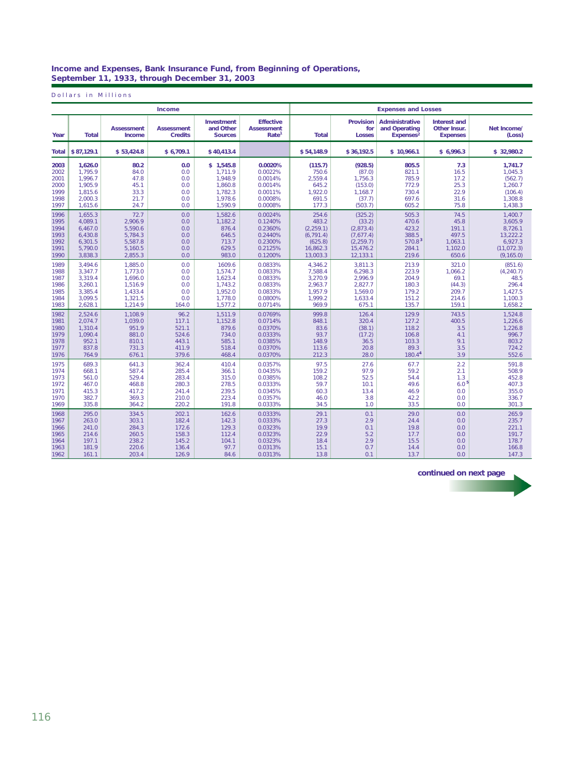### **Income and Expenses, Bank Insurance Fund, from Beginning of Operations, September 11, 1933, through December 31, 2003**

Dollars in Millions

|       |              |                             | Income                              |                                           |                                                            |              |                                          | <b>Expenses and Losses</b>                                      |                                                        |                       |
|-------|--------------|-----------------------------|-------------------------------------|-------------------------------------------|------------------------------------------------------------|--------------|------------------------------------------|-----------------------------------------------------------------|--------------------------------------------------------|-----------------------|
| Year  | <b>Total</b> | <b>Assessment</b><br>Income | <b>Assessment</b><br><b>Credits</b> | Investment<br>and Other<br><b>Sources</b> | <b>Effective</b><br><b>Assessment</b><br>Rate <sup>1</sup> | <b>Total</b> | <b>Provision</b><br>for<br><b>Losses</b> | <b>Administrative</b><br>and Operating<br>Expenses <sup>2</sup> | <b>Interest and</b><br>Other Insur.<br><b>Expenses</b> | Net Income/<br>(Loss) |
| Total | \$87.129.1   | \$53,424.8                  | \$6.709.1                           | \$40.413.4                                |                                                            | \$54.148.9   | \$36.192.5                               | \$10.966.1                                                      | \$6.996.3                                              | \$32.980.2            |
| 2003  | 1,626.0      | 80.2                        | 0.0                                 | \$1,545.8                                 | 0.0020%                                                    | (115.7)      | (928.5)                                  | 805.5                                                           | 7.3                                                    | 1,741.7               |
| 2002  | 1.795.9      | 84.0                        | 0.0                                 | 1.711.9                                   | 0.0022%                                                    | 750.6        | (87.0)                                   | 821.1                                                           | 16.5                                                   | 1.045.3               |
| 2001  | 1.996.7      | 47.8                        | 0.0                                 | 1,948.9                                   | 0.0014%                                                    | 2.559.4      | 1,756.3                                  | 785.9                                                           | 17.2                                                   | (562.7)               |
| 2000  | 1.905.9      | 45.1                        | 0.0                                 | 1,860.8                                   | 0.0014%                                                    | 645.2        | (153.0)                                  | 772.9                                                           | 25.3                                                   | 1,260.7               |
| 1999  | 1.815.6      | 33.3                        | 0.0                                 | 1,782.3                                   | 0.0011%                                                    | 1,922.0      | 1.168.7                                  | 730.4                                                           | 22.9                                                   | (106.4)               |
| 1998  | 2,000.3      | 21.7                        | 0.0                                 | 1,978.6                                   | 0.0008%                                                    | 691.5        | (37.7)                                   | 697.6                                                           | 31.6                                                   | 1,308.8               |
| 1997  | 1.615.6      | 24.7                        | 0.0                                 | 1,590.9                                   | 0.0008%                                                    | 177.3        | (503.7)                                  | 605.2                                                           | 75.8                                                   | 1,438.3               |
| 1996  | 1,655.3      | 72.7                        | 0.0                                 | 1,582.6                                   | 0.0024%                                                    | 254.6        | (325.2)                                  | 505.3                                                           | 74.5                                                   | 1,400.7               |
| 1995  | 4.089.1      | 2.906.9                     | 0.0                                 | 1.182.2                                   | 0.1240%                                                    | 483.2        | (33.2)                                   | 470.6                                                           | 45.8                                                   | 3.605.9               |
| 1994  | 6,467.0      | 5,590.6                     | 0.0                                 | 876.4                                     | 0.2360%                                                    | (2, 259.1)   | (2,873.4)                                | 423,2                                                           | 191.1                                                  | 8,726.1               |
| 1993  | 6.430.8      | 5.784.3                     | 0.0                                 | 646.5                                     | 0.2440%                                                    | (6, 791.4)   | (7.677.4)                                | 388.5                                                           | 497.5                                                  | 13,222.2              |
| 1992  | 6.301.5      | 5.587.8                     | 0.0                                 | 713.7                                     | 0.2300%                                                    | (625.8)      | (2.259.7)                                | 570.8 <sup>3</sup>                                              | 1.063.1                                                | 6.927.3               |
| 1991  | 5,790.0      | 5,160.5                     | 0.0                                 | 629.5                                     | 0.2125%                                                    | 16,862.3     | 15,476.2                                 | 284.1                                                           | 1,102.0                                                | (11, 072.3)           |
| 1990  | 3.838.3      | 2,855.3                     | 0.0                                 | 983.0                                     | 0.1200%                                                    | 13,003.3     | 12,133.1                                 | 219.6                                                           | 650.6                                                  | (9, 165.0)            |
| 1989  | 3.494.6      | 1,885.0                     | 0.0                                 | 1609.6                                    | 0.0833%                                                    | 4,346.2      | 3.811.3                                  | 213.9                                                           | 321.0                                                  | (851.6)               |
| 1988  | 3.347.7      | 1.773.0                     | 0.0                                 | 1.574.7                                   | 0.0833%                                                    | 7.588.4      | 6.298.3                                  | 223.9                                                           | 1.066.2                                                | (4, 240.7)            |
| 1987  | 3,319.4      | 1,696.0                     | 0.0                                 | 1,623.4                                   | 0.0833%                                                    | 3,270.9      | 2,996.9                                  | 204.9                                                           | 69.1                                                   | 48.5                  |
| 1986  | 3.260.1      | 1,516.9                     | 0.0                                 | 1,743.2                                   | 0.0833%                                                    | 2,963.7      | 2,827.7                                  | 180.3                                                           | (44.3)                                                 | 296.4                 |
| 1985  | 3.385.4      | 1.433.4                     | 0.0                                 | 1.952.0                                   | 0.0833%                                                    | 1.957.9      | 1.569.0                                  | 179.2                                                           | 209.7                                                  | 1.427.5               |
| 1984  | 3.099.5      | 1,321.5                     | 0.0                                 | 1,778.0                                   | 0.0800%                                                    | 1,999.2      | 1,633.4                                  | 151.2                                                           | 214.6                                                  | 1,100.3               |
| 1983  | 2,628.1      | 1,214.9                     | 164.0                               | 1,577.2                                   | 0.0714%                                                    | 969.9        | 675.1                                    | 135.7                                                           | 159.1                                                  | 1,658.2               |
| 1982  | 2.524.6      | 1.108.9                     | 96.2                                | 1.511.9                                   | 0.0769%                                                    | 999.8        | 126.4                                    | 129.9                                                           | 743.5                                                  | 1.524.8               |
| 1981  | 2.074.7      | 1,039.0                     | 117.1                               | 1,152.8                                   | 0.0714%                                                    | 848.1        | 320.4                                    | 127.2                                                           | 400.5                                                  | 1,226.6               |
| 1980  | 1.310.4      | 951.9                       | 521.1                               | 879.6                                     | 0.0370%                                                    | 83.6         | (38.1)                                   | 118.2                                                           | 3.5                                                    | 1.226.8               |
| 1979  | 1.090.4      | 881.0                       | 524.6                               | 734.0                                     | 0.0333%                                                    | 93.7         | (17.2)                                   | 106.8                                                           | 4.1                                                    | 996.7                 |
| 1978  | 952.1        | 810.1                       | 443.1                               | 585.1                                     | 0.0385%                                                    | 148.9        | 36.5                                     | 103.3                                                           | 9.1                                                    | 803.2                 |
| 1977  | 837.8        | 731.3                       | 411.9                               | 518.4                                     | 0.0370%                                                    | 113.6        | 20.8                                     | 89.3                                                            | 3.5                                                    | 724.2                 |
| 1976  | 764.9        | 676.1                       | 379.6                               | 468.4                                     | 0.0370%                                                    | 212.3        | 28.0                                     | 180.44                                                          | 3.9                                                    | 552.6                 |
| 1975  | 689.3        | 641.3                       | 362.4                               | 410.4                                     | 0.0357%                                                    | 97.5         | 27.6                                     | 67.7                                                            | 2.2                                                    | 591.8                 |
| 1974  | 668.1        | 587.4                       | 285.4                               | 366.1                                     | 0.0435%                                                    | 159.2        | 97.9                                     | 59.2                                                            | 2.1                                                    | 508.9                 |
| 1973  | 561.0        | 529.4                       | 283.4                               | 315.0                                     | 0.0385%                                                    | 108.2        | 52.5                                     | 54.4                                                            | 1.3                                                    | 452.8                 |
| 1972  | 467.0        | 468.8                       | 280.3                               | 278.5                                     | 0.0333%                                                    | 59.7         | 10.1                                     | 49.6                                                            | 6.0 <sup>5</sup>                                       | 407.3                 |
| 1971  | 415.3        | 417.2                       | 241.4                               | 239.5                                     | 0.0345%                                                    | 60.3         | 13.4                                     | 46.9                                                            | 0.0                                                    | 355.0                 |
| 1970  | 382.7        | 369.3                       | 210.0                               | 223.4                                     | 0.0357%                                                    | 46.0         | 3.8                                      | 42.2                                                            | 0.0                                                    | 336.7                 |
| 1969  | 335.8        | 364.2                       | 220.2                               | 191.8                                     | 0.0333%                                                    | 34.5         | 1.0                                      | 33.5                                                            | 0.0                                                    | 301.3                 |
| 1968  | 295.0        | 334.5                       | 202.1                               | 162.6                                     | 0.0333%                                                    | 29.1         | 0.1                                      | 29.0                                                            | 0.0                                                    | 265.9                 |
| 1967  | 263.0        | 303.1                       | 182.4                               | 142.3                                     | 0.0333%                                                    | 27.3         | 2.9                                      | 24.4                                                            | 0.0                                                    | 235.7                 |
| 1966  | 241.0        | 284.3                       | 172.6                               | 129.3                                     | 0.0323%                                                    | 19.9         | 0.1                                      | 19.8                                                            | 0.0                                                    | 221.1                 |
| 1965  | 214.6        | 260.5                       | 158.3                               | 112.4                                     | 0.0323%                                                    | 22.9         | 5.2                                      | 17.7                                                            | 0.0                                                    | 191.7                 |
| 1964  | 197.1        | 238.2                       | 145.2                               | 104.1                                     | 0.0323%                                                    | 18.4         | 2.9                                      | 15.5                                                            | 0.0                                                    | 178.7                 |
| 1963  | 181.9        | 220.6                       | 136.4                               | 97.7                                      | 0.0313%                                                    | 15.1         | 0.7                                      | 14.4                                                            | 0.0                                                    | 166.8                 |
| 1962  | 161.1        | 203.4                       | 126.9                               | 84.6                                      | 0.0313%                                                    | 13.8         | 0.1                                      | 13.7                                                            | 0.0                                                    | 147.3                 |

*continued on next page*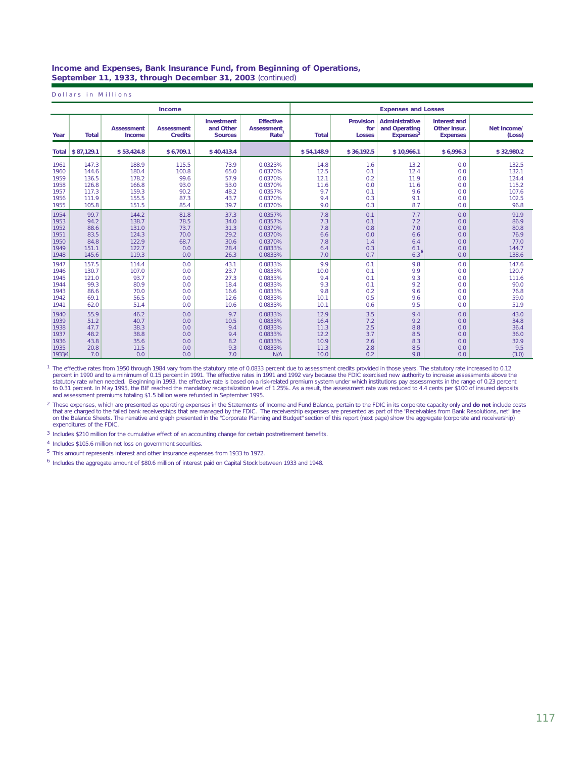### **Income and Expenses, Bank Insurance Fund, from Beginning of Operations, September 11, 1933, through December 31, 2003** (continued)

Dollars in Millions

|        |                  |                             | Income                              |                                           |                                               | <b>Expenses and Losses</b> |                                          |                                                          |                                                 |                       |
|--------|------------------|-----------------------------|-------------------------------------|-------------------------------------------|-----------------------------------------------|----------------------------|------------------------------------------|----------------------------------------------------------|-------------------------------------------------|-----------------------|
| Year   | <b>Total</b>     | <b>Assessment</b><br>Income | <b>Assessment</b><br><b>Credits</b> | Investment<br>and Other<br><b>Sources</b> | <b>Effective</b><br><b>Assessment</b><br>Rate | <b>Total</b>               | <b>Provision</b><br>for<br><b>Losses</b> | Administrative<br>and Operating<br>Expenses <sup>2</sup> | Interest and<br>Other Insur.<br><b>Expenses</b> | Net Income/<br>(Loss) |
|        | Total 5 87.129.1 | \$53.424.8                  | \$6.709.1                           | \$40.413.4                                |                                               | \$54.148.9                 | \$36.192.5                               | \$10.966.1                                               | \$6.996.3                                       | \$32.980.2            |
| 1961   | 147.3            | 188.9                       | 115.5                               | 73.9                                      | 0.0323%                                       | 14.8                       | 1.6                                      | 13.2                                                     | 0.0                                             | 132.5                 |
| 1960   | 144.6            | 180.4                       | 100.8                               | 65.0                                      | 0.0370%                                       | 12.5                       | 0.1                                      | 12.4                                                     | 0.0                                             | 132.1                 |
| 1959   | 136.5            | 178.2                       | 99.6                                | 57.9                                      | 0.0370%                                       | 12.1                       | 0.2                                      | 11.9                                                     | 0.0                                             | 124.4                 |
| 1958   | 126.8            | 166.8                       | 93.0                                | 53.0                                      | 0.0370%                                       | 11.6                       | 0.0                                      | 11.6                                                     | 0.0                                             | 115.2                 |
| 1957   | 117.3            | 159.3                       | 90.2                                | 48.2                                      | 0.0357%                                       | 9.7                        | 0.1                                      | 9.6                                                      | 0.0                                             | 107.6                 |
| 1956   | 111.9            | 155.5                       | 87.3                                | 43.7                                      | 0.0370%                                       | 9.4                        | 0.3                                      | 9.1                                                      | 0.0                                             | 102.5                 |
| 1955   | 105.8            | 151.5                       | 85.4                                | 39.7                                      | 0.0370%                                       | 9.0                        | 0.3                                      | 8.7                                                      | 0.0                                             | 96.8                  |
| 1954   | 99.7             | 144.2                       | 81.8                                | 37.3                                      | 0.0357%                                       | 7.8                        | 0.1                                      | 7.7                                                      | 0.0                                             | 91.9                  |
| 1953   | 94.2             | 138.7                       | 78.5                                | 34.0                                      | 0.0357%                                       | 7.3                        | 0.1                                      | 7.2                                                      | 0.0                                             | 86.9                  |
| 1952   | 88.6             | 131.0                       | 73.7                                | 31.3                                      | 0.0370%                                       | 7.8                        | 0.8                                      | 7.0                                                      | 0.0                                             | 80.8                  |
| 1951   | 83.5             | 124.3                       | 70.0                                | 29.2                                      | 0.0370%                                       | 6.6                        | 0.0                                      | 6.6                                                      | 0.0                                             | 76.9                  |
| 1950   | 84.8             | 122.9                       | 68.7                                | 30.6                                      | 0.0370%                                       | 7.8                        | 1.4                                      | 6.4                                                      | 0.0                                             | 77.0                  |
| 1949   | 151.1            | 122.7                       | 0.0                                 | 28.4                                      | 0.0833%                                       | 6.4                        | 0.3                                      | 6.1                                                      | 0.0                                             | 144.7                 |
| 1948   | 145.6            | 119.3                       | 0.0                                 | 26.3                                      | 0.0833%                                       | 7.0                        | 0.7                                      | 6.3                                                      | 0.0                                             | 138.6                 |
| 1947   | 157.5            | 114.4                       | 0.0                                 | 43.1                                      | 0.0833%                                       | 9.9                        | 0.1                                      | 9.8                                                      | 0.0                                             | 147.6                 |
| 1946   | 130.7            | 107.0                       | 0.0                                 | 23.7                                      | 0.0833%                                       | 10.0                       | 0.1                                      | 9.9                                                      | 0.0                                             | 120.7                 |
| 1945   | 121.0            | 93.7                        | 0.0                                 | 27.3                                      | 0.0833%                                       | 9.4                        | 0.1                                      | 9.3                                                      | 0.0                                             | 111.6                 |
| 1944   | 99.3             | 80.9                        | 0.0                                 | 18.4                                      | 0.0833%                                       | 9.3                        | 0.1                                      | 9.2                                                      | 0.0                                             | 90.0                  |
| 1943   | 86.6             | 70.0                        | 0.0                                 | 16.6                                      | 0.0833%                                       | 9.8                        | 0.2                                      | 9.6                                                      | 0.0                                             | 76.8                  |
| 1942   | 69.1             | 56.5                        | 0.0                                 | 12.6                                      | 0.0833%                                       | 10.1                       | 0.5                                      | 9.6                                                      | 0.0                                             | 59.0                  |
| 1941   | 62.0             | 51.4                        | 0.0                                 | 10.6                                      | 0.0833%                                       | 10.1                       | 0.6                                      | 9.5                                                      | 0.0                                             | 51.9                  |
| 1940   | 55.9             | 46.2                        | 0.0                                 | 9.7                                       | 0.0833%                                       | 12.9                       | 3.5                                      | 9.4                                                      | 0.0                                             | 43.0                  |
| 1939   | 51.2             | 40.7                        | 0.0                                 | 10.5                                      | 0.0833%                                       | 16.4                       | 7.2                                      | 9.2                                                      | 0.0                                             | 34.8                  |
| 1938   | 47.7             | 38.3                        | 0.0                                 | 9.4                                       | 0.0833%                                       | 11.3                       | 2.5                                      | 8.8                                                      | 0.0                                             | 36.4                  |
| 1937   | 48.2             | 38.8                        | 0.0                                 | 9.4                                       | 0.0833%                                       | 12.2                       | 3.7                                      | 8.5                                                      | 0.0                                             | 36.0                  |
| 1936   | 43.8             | 35.6                        | 0.0                                 | 8.2                                       | 0.0833%                                       | 10.9                       | 2.6                                      | 8.3                                                      | 0.0                                             | 32.9                  |
| 1935   | 20.8             | 11.5                        | 0.0                                 | 9.3                                       | 0.0833%                                       | 11.3                       | 2.8                                      | 8.5                                                      | 0.0                                             | 9.5                   |
| 1933/4 | 7.0              | 0.0                         | 0.0                                 | 7.0                                       | N/A                                           | 10.0                       | 0.2                                      | 9.8                                                      | 0.0                                             | (3.0)                 |

The effective rates from 1950 through 1984 vary from the statutory rate of 0.0833 percent due to assessment credits provided in those years. The statutory rate increased to 0.12<br>percent in 1990 and to a minimum of 0.15 per 1

<sup>2</sup> These expenses, which are presented as operating expenses in the Statements of Income and Fund Balance, pertain to the FDIC in its corporate capacity only and do not include costs that are charged to the failed bank receiverships that are managed by the FDIC. The receivership expenses are presented as part of the "Receivables from Bank Resolutions, net" line<br>on the Balance Sheets. The narrative and

<sup>3</sup> Includes \$210 million for the cumulative effect of an accounting change for certain postretirement benefits.

4 Includes \$105.6 million net loss on government securities.

<sup>5</sup> This amount represents interest and other insurance expenses from 1933 to 1972.

 $<sup>6</sup>$  Includes the aggregate amount of \$80.6 million of interest paid on Capital Stock between 1933 and 1948.</sup>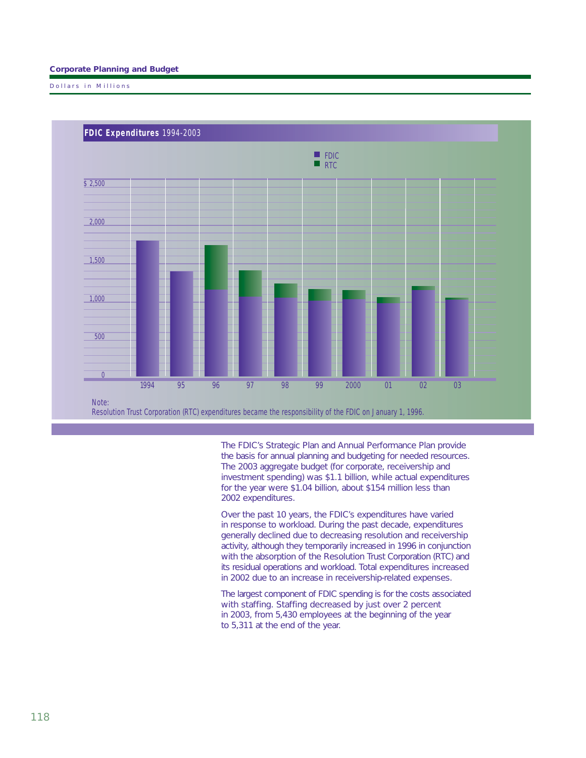## **Corporate Planning and Budget**

Dollars in Millions



The FDIC's Strategic Plan and Annual Performance Plan provide the basis for annual planning and budgeting for needed resources. The 2003 aggregate budget (for corporate, receivership and investment spending) was \$1.1 billion, while actual expenditures for the year were \$1.04 billion, about \$154 million less than 2002 expenditures.

Over the past 10 years, the FDIC's expenditures have varied in response to workload. During the past decade, expenditures generally declined due to decreasing resolution and receivership activity, although they temporarily increased in 1996 in conjunction with the absorption of the Resolution Trust Corporation (RTC) and its residual operations and workload. Total expenditures increased in 2002 due to an increase in receivership-related expenses.

The largest component of FDIC spending is for the costs associated with staffing. Staffing decreased by just over 2 percent in 2003, from 5,430 employees at the beginning of the year to 5,311 at the end of the year.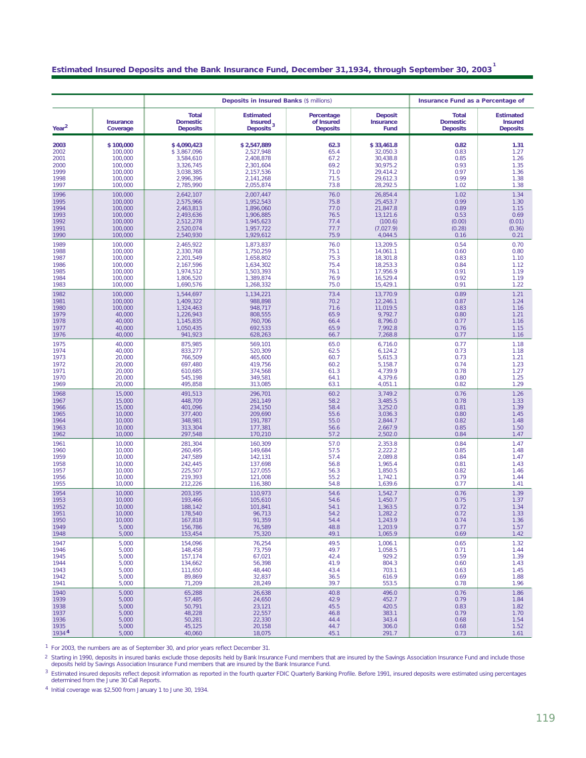# **Estimated Insured Deposits and the Bank Insurance Fund, December 31,1934, through September 30, 2003 1**

|                                                              |                                                                                      |                                                                                                      | <b>Deposits in Insured Banks (\$ millions)</b>                                                       |                                                      |                                                                                             | Insurance Fund as a Percentage of                                |                                                                  |
|--------------------------------------------------------------|--------------------------------------------------------------------------------------|------------------------------------------------------------------------------------------------------|------------------------------------------------------------------------------------------------------|------------------------------------------------------|---------------------------------------------------------------------------------------------|------------------------------------------------------------------|------------------------------------------------------------------|
| Year <sup>2</sup>                                            | Insurance<br>Coverage                                                                | <b>Total</b><br><b>Domestic</b><br><b>Deposits</b>                                                   | <b>Estimated</b><br>Insured<br>Deposits <sup>3</sup>                                                 | Percentage<br>of Insured<br><b>Deposits</b>          | <b>Deposit</b><br>Insurance<br>Fund                                                         | <b>Total</b><br><b>Domestic</b><br><b>Deposits</b>               | <b>Estimated</b><br><b>Insured</b><br><b>Deposits</b>            |
| 2003<br>2002<br>2001<br>2000<br>1999<br>1998                 | \$100,000<br>100,000<br>100,000<br>100,000<br>100,000<br>100,000                     | \$4,090,423<br>\$3,867,096<br>3,584,610<br>3,326,745<br>3,038,385<br>2,996,396                       | \$2,547,889<br>2,527,948<br>2,408,878<br>2,301,604<br>2,157,536<br>2,141,268                         | 62.3<br>65.4<br>67.2<br>69.2<br>71.0<br>71.5<br>73.8 | \$33,461.8<br>32,050.3<br>30,438.8<br>30,975.2<br>29,414.2<br>29,612.3                      | 0.82<br>0.83<br>0.85<br>0.93<br>0.97<br>0.99                     | 1.31<br>1.27<br>1.26<br>1.35<br>1.36<br>1.38                     |
| 1997<br>1996<br>1995<br>1994<br>1993<br>1992<br>1991<br>1990 | 100,000<br>100,000<br>100,000<br>100,000<br>100,000<br>100,000<br>100,000<br>100,000 | 2,785,990<br>2,642,107<br>2,575,966<br>2,463,813<br>2.493.636<br>2,512,278<br>2,520,074<br>2,540,930 | 2,055,874<br>2,007,447<br>1,952,543<br>1,896,060<br>1,906,885<br>1.945,623<br>1,957,722<br>1,929,612 | 76.0<br>75.8<br>77.0<br>76.5<br>77.4<br>77.7<br>75.9 | 28,292.5<br>26,854.4<br>25,453.7<br>21,847.8<br>13,121.6<br>(100.6)<br>(7,027.9)<br>4,044.5 | 1.02<br>1.02<br>0.99<br>0.89<br>0.53<br>(0.00)<br>(0.28)<br>0.16 | 1.38<br>1.34<br>1.30<br>1.15<br>0.69<br>(0.01)<br>(0.36)<br>0.21 |
| 1989                                                         | 100,000                                                                              | 2,465,922                                                                                            | 1,873,837                                                                                            | 76.0                                                 | 13,209.5                                                                                    | 0.54                                                             | 0.70                                                             |
| 1988                                                         | 100,000                                                                              | 2,330,768                                                                                            | 1,750,259                                                                                            | 75.1                                                 | 14,061.1                                                                                    | 0.60                                                             | 0.80                                                             |
| 1987                                                         | 100,000                                                                              | 2,201,549                                                                                            | 1,658,802                                                                                            | 75.3                                                 | 18,301.8                                                                                    | 0.83                                                             | 1.10                                                             |
| 1986                                                         | 100,000                                                                              | 2,167,596                                                                                            | 1,634,302                                                                                            | 75.4                                                 | 18,253.3                                                                                    | 0.84                                                             | 1.12                                                             |
| 1985                                                         | 100,000                                                                              | 1,974,512                                                                                            | 1,503,393                                                                                            | 76.1                                                 | 17,956.9                                                                                    | 0.91                                                             | 1.19                                                             |
| 1984                                                         | 100,000                                                                              | 1,806,520                                                                                            | 1.389.874                                                                                            | 76.9                                                 | 16,529.4                                                                                    | 0.92                                                             | 1.19                                                             |
| 1983                                                         | 100,000                                                                              | 1,690,576                                                                                            | 1,268,332                                                                                            | 75.0                                                 | 15,429.1                                                                                    | 0.91                                                             | 1.22                                                             |
| 1982                                                         | 100,000                                                                              | 1,544,697                                                                                            | 1,134,221                                                                                            | 73.4                                                 | 13,770.9                                                                                    | 0.89                                                             | 1.21                                                             |
| 1981                                                         | 100,000                                                                              | 1,409,322                                                                                            | 988,898                                                                                              | 70.2                                                 | 12,246.1                                                                                    | 0.87                                                             | 1.24                                                             |
| 1980                                                         | 100,000                                                                              | 1,324,463                                                                                            | 948,717                                                                                              | 71.6                                                 | 11,019.5                                                                                    | 0.83                                                             | 1.16                                                             |
| 1979                                                         | 40,000                                                                               | 1,226,943                                                                                            | 808,555                                                                                              | 65.9                                                 | 9,792.7                                                                                     | 0.80                                                             | 1.21                                                             |
| 1978                                                         | 40,000                                                                               | 1,145,835                                                                                            | 760.706                                                                                              | 66.4                                                 | 8,796.0                                                                                     | 0.77                                                             | 1.16                                                             |
| 1977                                                         | 40,000                                                                               | 1.050.435                                                                                            | 692,533                                                                                              | 65.9                                                 | 7,992.8                                                                                     | 0.76                                                             | 1.15                                                             |
| 1976                                                         | 40,000                                                                               | 941,923                                                                                              | 628,263                                                                                              | 66.7                                                 | 7,268.8                                                                                     | 0.77                                                             | 1.16                                                             |
| 1975                                                         | 40,000                                                                               | 875,985                                                                                              | 569,101                                                                                              | 65.0                                                 | 6,716.0                                                                                     | 0.77                                                             | 1.18                                                             |
| 1974                                                         | 40,000                                                                               | 833,277                                                                                              | 520,309                                                                                              | 62.5                                                 | 6,124.2                                                                                     | 0.73                                                             | 1.18                                                             |
| 1973                                                         | 20,000                                                                               | 766,509                                                                                              | 465,600                                                                                              | 60.7                                                 | 5,615.3                                                                                     | 0.73                                                             | 1.21                                                             |
| 1972                                                         | 20,000                                                                               | 697,480                                                                                              | 419.756                                                                                              | 60.2                                                 | 5,158.7                                                                                     | 0.74                                                             | 1.23                                                             |
| 1971                                                         | 20,000                                                                               | 610,685                                                                                              | 374,568                                                                                              | 61.3                                                 | 4,739.9                                                                                     | 0.78                                                             | 1.27                                                             |
| 1970                                                         | 20,000                                                                               | 545,198                                                                                              | 349,581                                                                                              | 64.1                                                 | 4,379.6                                                                                     | 0.80                                                             | 1.25                                                             |
| 1969                                                         | 20,000                                                                               | 495,858                                                                                              | 313,085                                                                                              | 63.1                                                 | 4,051.1                                                                                     | 0.82                                                             | 1.29                                                             |
| 1968                                                         | 15,000                                                                               | 491,513                                                                                              | 296,701                                                                                              | 60.2                                                 | 3,749.2                                                                                     | 0.76                                                             | 1.26                                                             |
| 1967                                                         | 15,000                                                                               | 448,709                                                                                              | 261,149                                                                                              | 58.2                                                 | 3,485.5                                                                                     | 0.78                                                             | 1.33                                                             |
| 1966                                                         | 15,000                                                                               | 401,096                                                                                              | 234,150                                                                                              | 58.4                                                 | 3,252.0                                                                                     | 0.81                                                             | 1.39                                                             |
| 1965                                                         | 10,000                                                                               | 377,400                                                                                              | 209,690                                                                                              | 55.6                                                 | 3,036.3                                                                                     | 0.80                                                             | 1.45                                                             |
| 1964                                                         | 10,000                                                                               | 348,981                                                                                              | 191,787                                                                                              | 55.0                                                 | 2,844.7                                                                                     | 0.82                                                             | 1.48                                                             |
| 1963                                                         | 10,000                                                                               | 313,304                                                                                              | 177,381                                                                                              | 56.6                                                 | 2,667.9                                                                                     | 0.85                                                             | 1.50                                                             |
| 1962                                                         | 10,000                                                                               | 297,548                                                                                              | 170,210                                                                                              | 57.2                                                 | 2,502.0                                                                                     | 0.84                                                             | 1.47                                                             |
| 1961                                                         | 10,000                                                                               | 281,304                                                                                              | 160,309                                                                                              | 57.0                                                 | 2,353.8                                                                                     | 0.84                                                             | 1.47                                                             |
| 1960                                                         | 10,000                                                                               | 260,495                                                                                              | 149,684                                                                                              | 57.5                                                 | 2,222.2                                                                                     | 0.85                                                             | 1.48                                                             |
| 1959                                                         | 10,000                                                                               | 247,589                                                                                              | 142,131                                                                                              | 57.4                                                 | 2,089.8                                                                                     | 0.84                                                             | 1.47                                                             |
| 1958                                                         | 10,000                                                                               | 242,445                                                                                              | 137,698                                                                                              | 56.8                                                 | 1,965.4                                                                                     | 0.81                                                             | 1.43                                                             |
| 1957                                                         | 10,000                                                                               | 225.507                                                                                              | 127,055                                                                                              | 56.3                                                 | 1,850.5                                                                                     | 0.82                                                             | 1.46                                                             |
| 1956                                                         | 10,000                                                                               | 219,393                                                                                              | 121,008                                                                                              | 55.2                                                 | 1,742.1                                                                                     | 0.79                                                             | 1.44                                                             |
| 1955                                                         | 10,000                                                                               | 212,226                                                                                              | 116,380                                                                                              | 54.8                                                 | 1,639.6                                                                                     | 0.77                                                             | 1.41                                                             |
| 1954                                                         | 10,000                                                                               | 203.195                                                                                              | 110.973                                                                                              | 54.6                                                 | 1,542.7                                                                                     | 0.76                                                             | 1.39                                                             |
| 1953                                                         | 10,000                                                                               | 193,466                                                                                              | 105.610                                                                                              | 54.6                                                 | 1.450.7                                                                                     | 0.75                                                             | 1.37                                                             |
| 1952                                                         | 10,000                                                                               | 188.142                                                                                              | 101,841                                                                                              | 54.1                                                 | 1.363.5                                                                                     | 0.72                                                             | 1.34                                                             |
| 1951                                                         | 10,000                                                                               | 178,540                                                                                              | 96,713                                                                                               | 54.2                                                 | 1,282.2                                                                                     | 0.72                                                             | 1.33                                                             |
| 1950                                                         | 10,000                                                                               | 167,818                                                                                              | 91,359                                                                                               | 54.4                                                 | 1,243.9                                                                                     | 0.74                                                             | 1.36                                                             |
| 1949                                                         | 5,000                                                                                | 156,786                                                                                              | 76,589                                                                                               | 48.8                                                 | 1,203.9                                                                                     | 0.77                                                             | 1.57                                                             |
| 1948                                                         | 5,000                                                                                | 153,454                                                                                              | 75,320                                                                                               | 49.1                                                 | 1,065.9                                                                                     | 0.69                                                             | 1.42                                                             |
| 1947                                                         | 5,000                                                                                | 154,096                                                                                              | 76,254                                                                                               | 49.5                                                 | 1,006.1                                                                                     | 0.65                                                             | 1.32                                                             |
| 1946                                                         | 5,000                                                                                | 148,458                                                                                              | 73,759                                                                                               | 49.7                                                 | 1,058.5                                                                                     | 0.71                                                             | 1.44                                                             |
| 1945                                                         | 5,000                                                                                | 157,174                                                                                              | 67,021                                                                                               | 42.4                                                 | 929.2                                                                                       | 0.59                                                             | 1.39                                                             |
| 1944                                                         | 5,000                                                                                | 134,662                                                                                              | 56,398                                                                                               | 41.9                                                 | 804.3                                                                                       | 0.60                                                             | 1.43                                                             |
| 1943                                                         | 5,000                                                                                | 111,650                                                                                              | 48,440                                                                                               | 43.4                                                 | 703.1                                                                                       | 0.63                                                             | 1.45                                                             |
| 1942                                                         | 5,000                                                                                | 89,869                                                                                               | 32,837                                                                                               | 36.5                                                 | 616.9                                                                                       | 0.69                                                             | 1.88                                                             |
| 1941                                                         | 5,000                                                                                | 71,209                                                                                               | 28,249                                                                                               | 39.7                                                 | 553.5                                                                                       | 0.78                                                             | 1.96                                                             |
| 1940                                                         | 5,000                                                                                | 65,288                                                                                               | 26,638                                                                                               | 40.8                                                 | 496.0                                                                                       | 0.76                                                             | 1.86                                                             |
| 1939                                                         | 5,000                                                                                | 57,485                                                                                               | 24,650                                                                                               | 42.9                                                 | 452.7                                                                                       | 0.79                                                             | 1.84                                                             |
| 1938                                                         | 5,000                                                                                | 50,791                                                                                               | 23,121                                                                                               | 45.5                                                 | 420.5                                                                                       | 0.83                                                             | 1.82                                                             |
| 1937                                                         | 5,000                                                                                | 48,228                                                                                               | 22,557                                                                                               | 46.8                                                 | 383.1                                                                                       | 0.79                                                             | 1.70                                                             |
| 1936                                                         | 5,000                                                                                | 50,281                                                                                               | 22,330                                                                                               | 44.4                                                 | 343.4                                                                                       | 0.68                                                             | 1.54                                                             |
| 1935                                                         | 5,000                                                                                | 45,125                                                                                               | 20,158                                                                                               | 44.7                                                 | 306.0                                                                                       | 0.68                                                             | 1.52                                                             |
| 19344                                                        | 5,000                                                                                | 40,060                                                                                               | 18,075                                                                                               | 45.1                                                 | 291.7                                                                                       | 0.73                                                             | 1.61                                                             |

<sup>1</sup> For 2003, the numbers are as of September 30, and prior years reflect December 31.

2 Starting in 1990, deposits in insured banks exclude those deposits held by Bank Insurance Fund members that are insured by the Savings Association Insurance Fund and include those<br>deposits held by Savings Association Ins

<sup>3</sup> Estimated insured deposits reflect deposit information as reported in the fourth quarter FDIC Quarterly Banking Profile. Before 1991, insured deposits were estimated using percentages determined from the June 30 Call R

<sup>4</sup> Initial coverage was \$2,500 from January 1 to June 30, 1934.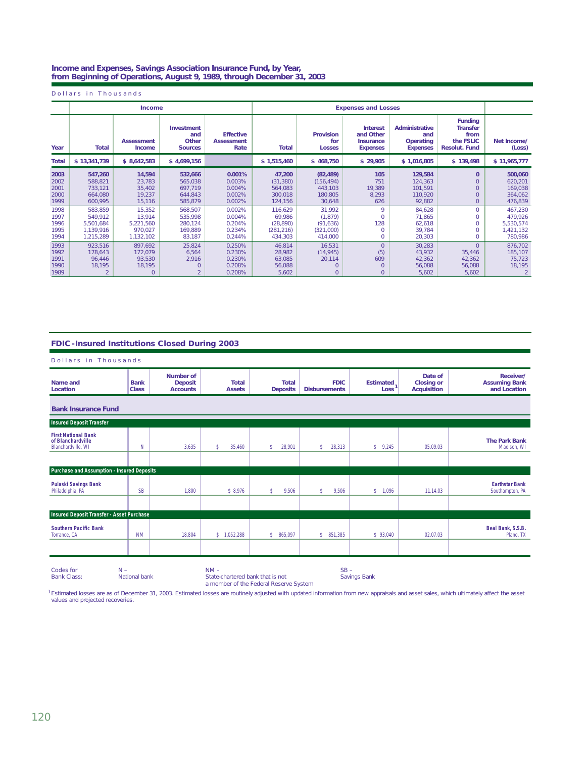#### **Income and Expenses, Savings Association Insurance Fund, by Year, from Beginning of Operations, August 9, 1989, through December 31, 2003**

Dollars in Thousands

|                                      |                                                           | <b>Income</b>                                         |                                                     |                                                |                                                         |                                                               | <b>Expenses and Losses</b>                                          |                                                              |                                                                                |                                                         |
|--------------------------------------|-----------------------------------------------------------|-------------------------------------------------------|-----------------------------------------------------|------------------------------------------------|---------------------------------------------------------|---------------------------------------------------------------|---------------------------------------------------------------------|--------------------------------------------------------------|--------------------------------------------------------------------------------|---------------------------------------------------------|
| Year                                 | Total                                                     | <b>Assessment</b><br>Income                           | Investment<br>and<br>Other<br><b>Sources</b>        | <b>Effective</b><br><b>Assessment</b><br>Rate  | <b>Total</b>                                            | <b>Provision</b><br>for<br><b>Losses</b>                      | <b>Interest</b><br>and Other<br><b>Insurance</b><br><b>Expenses</b> | <b>Administrative</b><br>and<br>Operating<br><b>Expenses</b> | <b>Funding</b><br><b>Transfer</b><br>from<br>the FSLIC<br><b>Resolut. Fund</b> | Net Income/<br>(Loss)                                   |
| <b>Total</b>                         | \$13,341,739                                              | \$8,642,583                                           | \$4,699,156                                         |                                                | \$1,515,460                                             | \$468,750                                                     | \$29,905                                                            | \$1,016,805                                                  | \$139,498                                                                      | \$11,965,777                                            |
| 2003<br>2002<br>2001<br>2000<br>1999 | 547,260<br>588,821<br>733,121<br>664.080<br>600,995       | 14,594<br>23,783<br>35,402<br>19,237<br>15,116        | 532,666<br>565,038<br>697,719<br>644,843<br>585,879 | 0.001%<br>0.003%<br>0.004%<br>0.002%<br>0.002% | 47,200<br>(31, 380)<br>564,083<br>300.018<br>124,156    | (82, 489)<br>(156, 494)<br>443,103<br>180,805<br>30,648       | 105<br>751<br>19,389<br>8,293<br>626                                | 129,584<br>124,363<br>101,591<br>110,920<br>92,882           | $\mathbf{0}$<br>$\mathbf{O}$<br>$\mathbf{0}$<br>$\mathbf{O}$<br>$\overline{0}$ | 500,060<br>620,201<br>169,038<br>364,062<br>476,839     |
| 1998<br>1997<br>1996<br>1995<br>1994 | 583,859<br>549,912<br>5,501,684<br>1,139,916<br>1.215.289 | 15,352<br>13,914<br>5,221,560<br>970.027<br>1,132,102 | 568,507<br>535,998<br>280,124<br>169.889<br>83.187  | 0.002%<br>0.004%<br>0.204%<br>0.234%<br>0.244% | 116,629<br>69,986<br>(28, 890)<br>(281, 216)<br>434,303 | 31,992<br>(1, 879)<br>(91, 636)<br>(321,000)<br>414,000       | 9<br>128<br>$\Omega$                                                | 84,628<br>71,865<br>62,618<br>39.784<br>20,303               | $\mathbf{0}$<br>$\circ$<br>$\circ$<br>$\circ$<br>$\mathbf{0}$                  | 467,230<br>479,926<br>5,530,574<br>1,421,132<br>780,986 |
| 1993<br>1992<br>1991<br>1990<br>1989 | 923.516<br>178,643<br>96,446<br>18,195                    | 897.692<br>172,079<br>93,530<br>18,195                | 25,824<br>6,564<br>2,916<br>0                       | 0.250%<br>0.230%<br>0.230%<br>0.208%<br>0.208% | 46,814<br>28,982<br>63,085<br>56,088<br>5,602           | 16,531<br>(14, 945)<br>20,114<br>$\mathbf{0}$<br>$\mathbf{0}$ | $\overline{0}$<br>(5)<br>609<br>0<br>0                              | 30.283<br>43,932<br>42,362<br>56,088<br>5,602                | $\overline{0}$<br>35,446<br>42,362<br>56,088<br>5,602                          | 876,702<br>185,107<br>75.723<br>18,195                  |

## **FDIC-Insured Institutions Closed During 2003**

| Dollars in Thousands                                                  |                                                                                                                                                 |                                                       |                               |                                 |                                     |                          |                                                    |                                                   |  |  |
|-----------------------------------------------------------------------|-------------------------------------------------------------------------------------------------------------------------------------------------|-------------------------------------------------------|-------------------------------|---------------------------------|-------------------------------------|--------------------------|----------------------------------------------------|---------------------------------------------------|--|--|
| Name and<br>Location                                                  | <b>Bank</b><br><b>Class</b>                                                                                                                     | <b>Number of</b><br><b>Deposit</b><br><b>Accounts</b> | <b>Total</b><br><b>Assets</b> | <b>Total</b><br><b>Deposits</b> | <b>FDIC</b><br><b>Disbursements</b> | <b>Estimated</b><br>Loss | Date of<br><b>Closing or</b><br><b>Acquisition</b> | Receiver/<br><b>Assuming Bank</b><br>and Location |  |  |
| <b>Bank Insurance Fund</b>                                            |                                                                                                                                                 |                                                       |                               |                                 |                                     |                          |                                                    |                                                   |  |  |
| <b>Insured Deposit Transfer</b>                                       |                                                                                                                                                 |                                                       |                               |                                 |                                     |                          |                                                    |                                                   |  |  |
| <b>First National Bank</b><br>of Blanchardville<br>Blanchardville, WI | N                                                                                                                                               | 3.635                                                 | 35.460<br>s.                  | 28.901<br>s.                    | 28.313<br>\$                        | \$9,245                  | 05.09.03                                           | <b>The Park Bank</b><br>Madison, WI               |  |  |
|                                                                       |                                                                                                                                                 |                                                       |                               |                                 |                                     |                          |                                                    |                                                   |  |  |
| Purchase and Assumption - Insured Deposits                            |                                                                                                                                                 |                                                       |                               |                                 |                                     |                          |                                                    |                                                   |  |  |
| <b>Pulaski Savings Bank</b><br>Philadelphia, PA                       | <b>SB</b>                                                                                                                                       | 1,800                                                 | \$8,976                       | 9,506<br>s.                     | 9,506<br>s                          | \$ 1,096                 | 11.14.03                                           | <b>Earthstar Bank</b><br>Southampton, PA          |  |  |
|                                                                       |                                                                                                                                                 |                                                       |                               |                                 |                                     |                          |                                                    |                                                   |  |  |
| Insured Deposit Transfer - Asset Purchase                             |                                                                                                                                                 |                                                       |                               |                                 |                                     |                          |                                                    |                                                   |  |  |
| <b>Southern Pacific Bank</b><br>Torrance, CA                          | <b>NM</b>                                                                                                                                       | 18.804                                                | \$1,052,288                   | \$ 865,097                      | \$ 851,385                          | \$93,040                 | 02.07.03                                           | Beal Bank, S.S.B.<br>Plano, TX                    |  |  |
|                                                                       |                                                                                                                                                 |                                                       |                               |                                 |                                     |                          |                                                    |                                                   |  |  |
| Codes for<br><b>Bank Class:</b>                                       | $SB -$<br>$NM -$<br>$N -$<br>National bank<br>State-chartered bank that is not<br><b>Savings Bank</b><br>a member of the Federal Reserve System |                                                       |                               |                                 |                                     |                          |                                                    |                                                   |  |  |

1 Estimated losses are as of December 31, 2003. Estimated losses are routinely adjusted with updated information from new appraisals and asset sales, which ultimately affect the asset values and projected recoveries.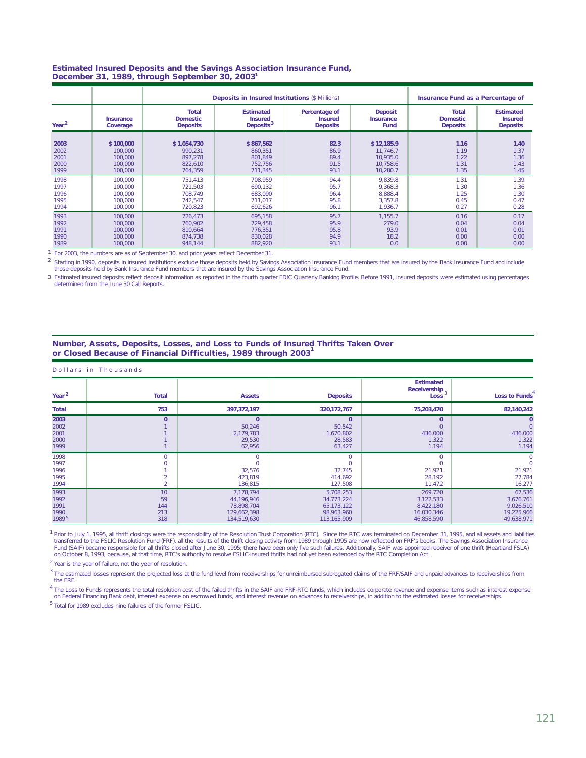#### **Estimated Insured Deposits and the Savings Association Insurance Fund, December 31, 1989, through September 30, 2003 1**

|                   |                              |                                                    | <b>Deposits in Insured Institutions (\$ Millions)</b>       |                                                    | Insurance Fund as a Percentage of          |                                                    |                                                       |
|-------------------|------------------------------|----------------------------------------------------|-------------------------------------------------------------|----------------------------------------------------|--------------------------------------------|----------------------------------------------------|-------------------------------------------------------|
| Year <sup>2</sup> | <b>Insurance</b><br>Coverage | <b>Total</b><br><b>Domestic</b><br><b>Deposits</b> | <b>Estimated</b><br><b>Insured</b><br>Deposits <sup>3</sup> | Percentage of<br><b>Insured</b><br><b>Deposits</b> | <b>Deposit</b><br><b>Insurance</b><br>Fund | <b>Total</b><br><b>Domestic</b><br><b>Deposits</b> | <b>Estimated</b><br><b>Insured</b><br><b>Deposits</b> |
| 2003              | \$100,000                    | \$1,054,730                                        | \$867,562                                                   | 82.3                                               | \$12,185.9                                 | 1.16                                               | 1.40                                                  |
| 2002              | 100.000                      | 990.231                                            | 860.351                                                     | 86.9                                               | 11.746.7                                   | 1.19                                               | 1.37                                                  |
| 2001              | 100,000                      | 897,278                                            | 801,849                                                     | 89.4                                               | 10,935.0                                   | 1.22                                               | 1.36                                                  |
| 2000              | 100,000                      | 822.610                                            | 752,756                                                     | 91.5                                               | 10.758.6                                   | 1.31                                               | 1.43                                                  |
| 1999              | 100,000                      | 764,359                                            | 711,345                                                     | 93.1                                               | 10,280.7                                   | 1.35                                               | 1.45                                                  |
| 1998              | 100,000                      | 751.413                                            | 708.959                                                     | 94.4                                               | 9.839.8                                    | 1.31                                               | 1.39                                                  |
| 1997              | 100,000                      | 721.503                                            | 690.132                                                     | 95.7                                               | 9.368.3                                    | 1.30                                               | 1.36                                                  |
| 1996              | 100,000                      | 708.749                                            | 683.090                                                     | 96.4                                               | 8.888.4                                    | 1.25                                               | 1.30                                                  |
| 1995              | 100,000                      | 742,547                                            | 711,017                                                     | 95.8                                               | 3,357.8                                    | 0.45                                               | 0.47                                                  |
| 1994              | 100,000                      | 720,823                                            | 692,626                                                     | 96.1                                               | 1,936.7                                    | 0.27                                               | 0.28                                                  |
| 1993              | 100,000                      | 726.473                                            | 695,158                                                     | 95.7                                               | 1.155.7                                    | 0.16                                               | 0.17                                                  |
| 1992              | 100.000                      | 760.902                                            | 729.458                                                     | 95.9                                               | 279.0                                      | 0.04                                               | 0.04                                                  |
| 1991              | 100.000                      | 810.664                                            | 776.351                                                     | 95.8                                               | 93.9                                       | 0.01                                               | 0.01                                                  |
| 1990              | 100.000                      | 874.738                                            | 830.028                                                     | 94.9                                               | 18.2                                       | 0.00                                               | 0.00                                                  |
| 1989              | 100,000                      | 948,144                                            | 882,920                                                     | 93.1                                               | 0.0                                        | 0.00                                               | 0.00                                                  |

 $1$  For 2003, the numbers are as of September 30, and prior years reflect December 31.

<sup>2</sup> Starting in 1990, deposits in insured institutions exclude those deposits held by Savings Association Insurance Fund members that are insured by the Bank Insurance Fund and include those deposits held by Bank Insurance Fund members that are insured by the Savings Association Insurance Fund.

3 Estimated insured deposits reflect deposit information as reported in the fourth quarter *FDIC Quarterly Banking Profile*. Before 1991, insured deposits were estimated using percentages determined from the June 30 Call Reports.

### **Number, Assets, Deposits, Losses, and Loss to Funds of Insured Thrifts Taken Over**  or Closed Because of Financial Difficulties, 1989 through 2003<sup>1</sup>

| Dollars in Thousands                              |                               |                                                                     |                                                                      |                                                               |                                                              |
|---------------------------------------------------|-------------------------------|---------------------------------------------------------------------|----------------------------------------------------------------------|---------------------------------------------------------------|--------------------------------------------------------------|
| Year $2$                                          | <b>Total</b>                  | <b>Assets</b>                                                       | <b>Deposits</b>                                                      | <b>Estimated</b><br>Receivership $3^+$<br>Loss                | Loss to Funds                                                |
| <b>Total</b>                                      | 753                           | 397, 372, 197                                                       | 320,172,767                                                          | 75,203,470                                                    | 82,140,242                                                   |
| 2003<br>2002<br>2001<br>2000<br>1999              | $\Omega$                      | $\mathbf{0}$<br>50,246<br>2,179,783<br>29,530<br>62,956             | $\mathbf{0}$<br>50,542<br>1,670,802<br>28,583<br>63,427              | $\bf{0}$<br>$\circ$<br>436,000<br>1,322<br>1,194              | $\Omega$<br>436,000<br>1,322<br>1,194                        |
| 1998<br>1997<br>1996<br>1995<br>1994              | $\Omega$                      | O<br>0<br>32,576<br>423,819<br>136,815                              | $\circ$<br>$\overline{0}$<br>32,745<br>414,692<br>127,508            | $\circ$<br>$\circ$<br>21,921<br>28,192<br>11,472              | $\Omega$<br>21,921<br>27,784<br>16,277                       |
| 1993<br>1992<br>1991<br>1990<br>1989 <sup>5</sup> | 10<br>59<br>144<br>213<br>318 | 7,178,794<br>44,196,946<br>78,898,704<br>129,662,398<br>134,519,630 | 5,708,253<br>34,773,224<br>65, 173, 122<br>98,963,960<br>113,165,909 | 269,720<br>3,122,533<br>8,422,180<br>16,030,346<br>46,858,590 | 67,536<br>3,676,761<br>9,026,510<br>19,225,966<br>49,638,971 |

<sup>1</sup> Prior to July 1, 1995, all thrift closings were the responsibility of the Resolution Trust Corporation (RTC). Since the RTC was terminated on December 31, 1995, and all assets and liabilities transferred to the FSLIC Resolution Fund (FRF), all the results of the thrift closing activity from 1989 through 1995 are now reflected on FRF's books. The Savings Association Insurance Fund (SAIF) became responsible for all thrifts closed after June 30, 1995; there have been only five such failures. Additionally, SAIF was appointed receiver of one thrift (Heartland FSLA)<br>on October 8, 1993, because, at t

 $2$  Year is the year of failure, not the year of resolution.

 $3$  The estimated losses represent the projected loss at the fund level from receiverships for unreimbursed subrogated claims of the FRF/SAIF and unpaid advances to receiverships from the FRF.

The Loss to Funds represents the total resolution cost of the failed thrifts in the SAIF and FRF-RTC funds, which includes corporate revenue and expense items such as interest expense<br>on Federal Financing Bank debt, intere 4

<sup>5</sup> Total for 1989 excludes nine failures of the former FSLIC.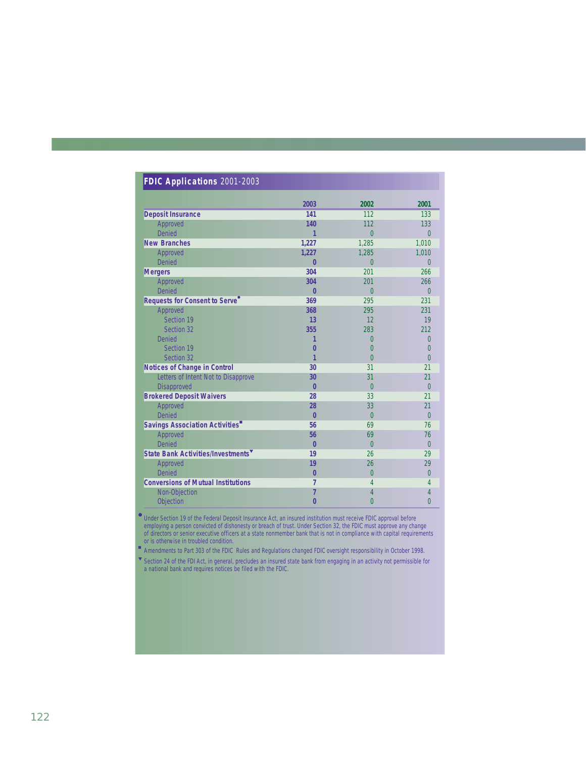| FDIC Applications 2001-2003                    |                      |                |                |  |
|------------------------------------------------|----------------------|----------------|----------------|--|
|                                                | 2003                 | 2002           | 2001           |  |
| <b>Deposit Insurance</b>                       | 141                  | 112            | 133            |  |
| Approved                                       | 140                  | 112            | 133            |  |
| Denied                                         | 1                    | $\overline{0}$ | $\Omega$       |  |
| <b>New Branches</b>                            | 1,227                | 1.285          | 1.010          |  |
| Approved                                       | 1,227                | 1,285          | 1,010          |  |
| Denied                                         | $\bf{0}$             | $\overline{0}$ | $\overline{0}$ |  |
| <b>Mergers</b>                                 | 304                  | 201            | 266            |  |
| Approved                                       | 304                  | 201            | 266            |  |
| Denied                                         | $\overline{0}$       | $\overline{0}$ | $\Omega$       |  |
| Requests for Consent to Serve <sup>®</sup>     | 369                  | 295            | 231            |  |
| Approved                                       | 368                  | 295            | 231            |  |
| Section 19                                     | 13                   | 12             | 19             |  |
| Section 32                                     | 355                  | 283            | 212            |  |
| <b>Denied</b>                                  |                      | 0              | 0              |  |
| Section 19                                     | 0                    | $\theta$       | $\Omega$       |  |
| Section 32                                     | 1                    | $\Omega$       | $\Omega$       |  |
| <b>Notices of Change in Control</b>            | 30                   | 31             | 21             |  |
| Letters of Intent Not to Disapprove            | 30                   | 31             | 21             |  |
| Disapproved                                    | $\overline{0}$<br>28 | $\overline{0}$ | $\overline{0}$ |  |
| <b>Brokered Deposit Waivers</b><br>Approved    | 28                   | 33<br>33       | 21<br>21       |  |
| Denied                                         | $\overline{0}$       | $\overline{0}$ | $\theta$       |  |
| Savings Association Activities"                | 56                   | 69             | 76             |  |
| Approved                                       | 56                   | 69             | 76             |  |
| Denied                                         | $\overline{0}$       | $\overline{0}$ | $\theta$       |  |
| State Bank Activities/Investments <sup>V</sup> | 19                   | 26             | 29             |  |
| Approved                                       | 19                   | 26             | 29             |  |
| Denied                                         | $\overline{0}$       | $\Omega$       | $\Omega$       |  |
| <b>Conversions of Mutual Institutions</b>      | 7                    | $\overline{4}$ | 4              |  |
| Non-Objection                                  | 7                    | 4              | 4              |  |
| Objection                                      | 0                    | $\overline{0}$ | $\Omega$       |  |

Under Section 19 of the Federal Deposit Insurance Act, an insured institution must receive FDIC approval before employing a person convicted of dishonesty or breach of trust. Under Section 32, the FDIC must approve any change of directors or senior executive officers at a state nonmember bank that is not in compliance with capital requirements or is otherwise in troubled condition. ●

■ Amendments to Part 303 of the FDIC Rules and Regulations changed FDIC oversight responsibility in October 1998.

▼ Section 24 of the FDI Act, in general, precludes an insured state bank from engaging in an activity not permissible for a national bank and requires notices be filed with the FDIC.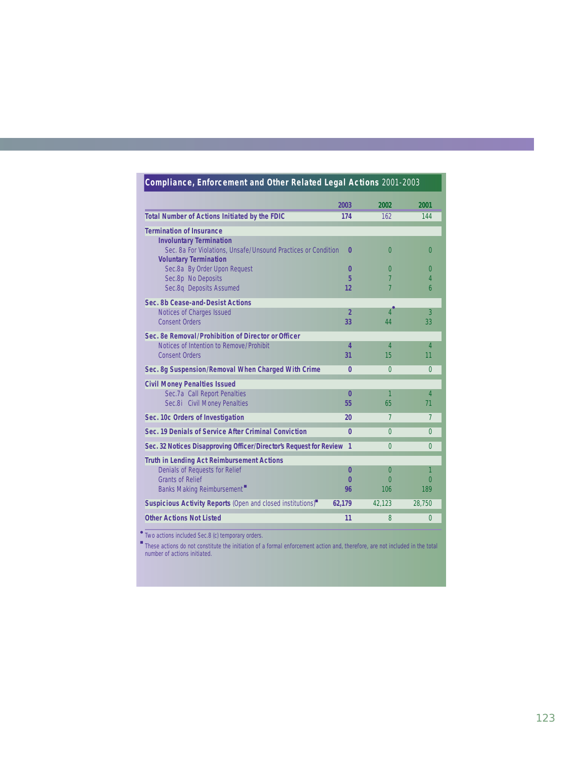| Compliance, Enforcement and Other Related Legal Actions 2001-2003                                                                                           |                |                |                |
|-------------------------------------------------------------------------------------------------------------------------------------------------------------|----------------|----------------|----------------|
|                                                                                                                                                             | 2003           | 2002           | 2001           |
| <b>Total Number of Actions Initiated by the FDIC</b>                                                                                                        | 174            | 162            | 144            |
| <b>Termination of Insurance</b>                                                                                                                             |                |                |                |
| <b>Involuntary Termination</b><br>Sec. 8a For Violations, Unsafe/Unsound Practices or Condition<br><b>Voluntary Termination</b>                             | $\bf{0}$       | $\Omega$       | $\Omega$       |
| Sec.8a By Order Upon Request                                                                                                                                | $\bf{0}$       | $\Omega$       | $\Omega$       |
| Sec.8p No Deposits                                                                                                                                          | 5              | 7              | $\overline{4}$ |
| Sec.8q Deposits Assumed                                                                                                                                     | 12             | 7              | 6              |
| Sec. 8b Cease-and-Desist Actions                                                                                                                            |                |                |                |
| Notices of Charges Issued                                                                                                                                   | $\overline{2}$ | $\overline{4}$ | 3              |
| <b>Consent Orders</b>                                                                                                                                       | 33             | 44             | 33             |
| Sec. 8e Removal/Prohibition of Director or Officer                                                                                                          |                |                |                |
| Notices of Intention to Remove/Prohibit                                                                                                                     | 4              | $\overline{4}$ | $\overline{4}$ |
| <b>Consent Orders</b>                                                                                                                                       | 31             | 15             | 11             |
| Sec. 8g Suspension/Removal When Charged With Crime                                                                                                          | $\bf{0}$       | $\Omega$       | $\Omega$       |
| <b>Civil Money Penalties Issued</b>                                                                                                                         |                |                |                |
| Sec.7a Call Report Penalties                                                                                                                                | $\bf{0}$       | 1              | $\overline{4}$ |
| Sec.8i Civil Money Penalties                                                                                                                                | 55             | 65             | 71             |
| Sec. 10c Orders of Investigation                                                                                                                            | 20             | 7              | $\overline{7}$ |
| Sec. 19 Denials of Service After Criminal Conviction                                                                                                        | 0              | $\Omega$       | $\theta$       |
| Sec. 32 Notices Disapproving Officer/Director's Request for Review 1                                                                                        |                | $\Omega$       | $\Omega$       |
| <b>Truth in Lending Act Reimbursement Actions</b>                                                                                                           |                |                |                |
| Denials of Requests for Relief                                                                                                                              | $\bf{0}$       | $\Omega$       | 1              |
| <b>Grants of Relief</b>                                                                                                                                     | $\bf{0}$       | $\Omega$       | $\Omega$       |
| Banks Making Reimbursement                                                                                                                                  | 96             | 106            | 189            |
| Suspicious Activity Reports (Open and closed institutions) <sup>"</sup>                                                                                     | 62,179         | 42,123         | 28,750         |
| <b>Other Actions Not Listed</b>                                                                                                                             | 11             | 8              | $\Omega$       |
| Two actions included Sec.8 (c) temporary orders.                                                                                                            |                |                |                |
| These actions do not constitute the initiation of a formal enforcement action and, therefore, are not included in the total<br>number of actions initiated. |                |                |                |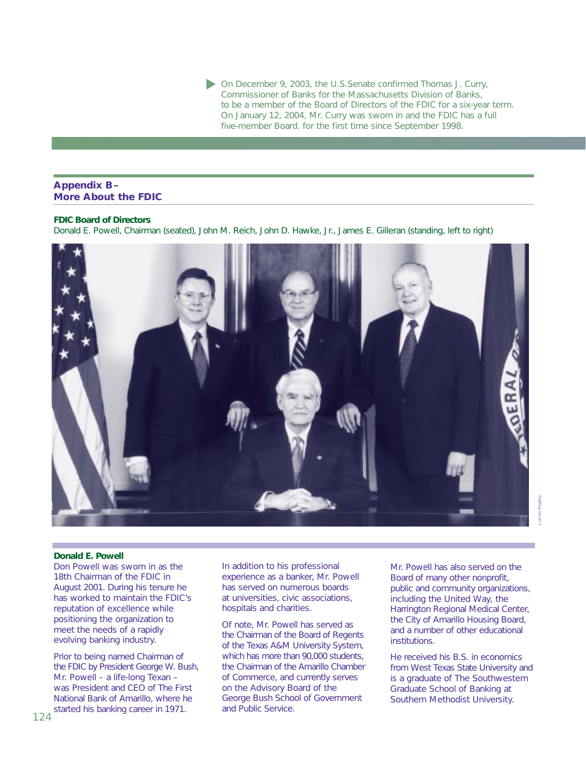On December 9, 2003, the U.S.Senate confirmed Thomas J. Curry, Commissioner of Banks for the Massachusetts Division of Banks, to be a member of the Board of Directors of the FDIC for a six-year term. On January 12, 2004, Mr. Curry was sworn in and the FDIC has a full five-member Board. for the first time since September 1998.

## **Appendix B– More About the FDIC**

## **FDIC Board of Directors**

Donald E. Powell, Chairman (seated), John M. Reich, John D. Hawke, Jr., James E. Gilleran (standing, left to right)



#### **Donald E. Powell**

Don Powell was sworn in as the 18th Chairman of the FDIC in August 2001. During his tenure he has worked to maintain the FDIC's reputation of excellence while positioning the organization to meet the needs of a rapidly evolving banking industry.

Prior to being named Chairman of the FDIC by President George W. Bush, Mr. Powell – a life-long Texan – was President and CEO of The First National Bank of Amarillo, where he started his banking career in 1971.

In addition to his professional experience as a banker, Mr. Powell has served on numerous boards at universities, civic associations, hospitals and charities.

Of note, Mr. Powell has served as the Chairman of the Board of Regents of the Texas A&M University System, which has more than 90,000 students, the Chairman of the Amarillo Chamber of Commerce, and currently serves on the Advisory Board of the George Bush School of Government and Public Service.

Mr. Powell has also served on the Board of many other nonprofit, public and community organizations, including the United Way, the Harrington Regional Medical Center, the City of Amarillo Housing Board, and a number of other educational institutions.

He received his B.S. in economics from West Texas State University and is a graduate of The Southwestern Graduate School of Banking at Southern Methodist University.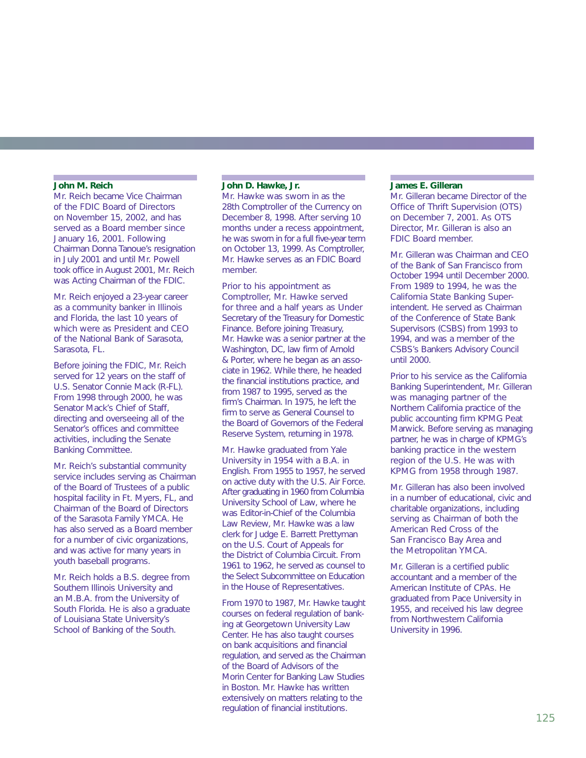#### **John M. Reich**

Mr. Reich became Vice Chairman of the FDIC Board of Directors on November 15, 2002, and has served as a Board member since January 16, 2001. Following Chairman Donna Tanoue's resignation in July 2001 and until Mr. Powell took office in August 2001, Mr. Reich was Acting Chairman of the FDIC.

Mr. Reich enjoyed a 23-year career as a community banker in Illinois and Florida, the last 10 years of which were as President and CEO of the National Bank of Sarasota, Sarasota, FL.

Before joining the FDIC, Mr. Reich served for 12 years on the staff of U.S. Senator Connie Mack (R-FL). From 1998 through 2000, he was Senator Mack's Chief of Staff, directing and overseeing all of the Senator's offices and committee activities, including the Senate Banking Committee.

Mr. Reich's substantial community service includes serving as Chairman of the Board of Trustees of a public hospital facility in Ft. Myers, FL, and Chairman of the Board of Directors of the Sarasota Family YMCA. He has also served as a Board member for a number of civic organizations, and was active for many years in youth baseball programs.

Mr. Reich holds a B.S. degree from Southern Illinois University and an M.B.A. from the University of South Florida. He is also a graduate of Louisiana State University's School of Banking of the South.

## **John D. Hawke, Jr.**

Mr. Hawke was sworn in as the 28th Comptroller of the Currency on December 8, 1998. After serving 10 months under a recess appointment, he was sworn in for a full five-year term on October 13, 1999. As Comptroller, Mr. Hawke serves as an FDIC Board member.

Prior to his appointment as Comptroller, Mr. Hawke served for three and a half years as Under Secretary of the Treasury for Domestic Finance. Before joining Treasury, Mr. Hawke was a senior partner at the Washington, DC, law firm of Arnold & Porter, where he began as an associate in 1962. While there, he headed the financial institutions practice, and from 1987 to 1995, served as the firm's Chairman. In 1975, he left the firm to serve as General Counsel to the Board of Governors of the Federal Reserve System, returning in 1978.

Mr. Hawke graduated from Yale University in 1954 with a B.A. in English. From 1955 to 1957, he served on active duty with the U.S. Air Force. After graduating in 1960 from Columbia University School of Law, where he was Editor-in-Chief of the Columbia Law Review, Mr. Hawke was a law clerk for Judge E. Barrett Prettyman on the U.S. Court of Appeals for the District of Columbia Circuit. From 1961 to 1962, he served as counsel to the Select Subcommittee on Education in the House of Representatives.

From 1970 to 1987, Mr. Hawke taught courses on federal regulation of banking at Georgetown University Law Center. He has also taught courses on bank acquisitions and financial regulation, and served as the Chairman of the Board of Advisors of the Morin Center for Banking Law Studies in Boston. Mr. Hawke has written extensively on matters relating to the regulation of financial institutions.

#### **James E. Gilleran**

Mr. Gilleran became Director of the Office of Thrift Supervision (OTS) on December 7, 2001. As OTS Director, Mr. Gilleran is also an FDIC Board member.

Mr. Gilleran was Chairman and CEO of the Bank of San Francisco from October 1994 until December 2000. From 1989 to 1994, he was the California State Banking Superintendent. He served as Chairman of the Conference of State Bank Supervisors (CSBS) from 1993 to 1994, and was a member of the CSBS's Bankers Advisory Council until 2000.

Prior to his service as the California Banking Superintendent, Mr. Gilleran was managing partner of the Northern California practice of the public accounting firm KPMG Peat Marwick. Before serving as managing partner, he was in charge of KPMG's banking practice in the western region of the U.S. He was with KPMG from 1958 through 1987.

Mr. Gilleran has also been involved in a number of educational, civic and charitable organizations, including serving as Chairman of both the American Red Cross of the San Francisco Bay Area and the Metropolitan YMCA.

Mr. Gilleran is a certified public accountant and a member of the American Institute of CPAs. He graduated from Pace University in 1955, and received his law degree from Northwestern California University in 1996.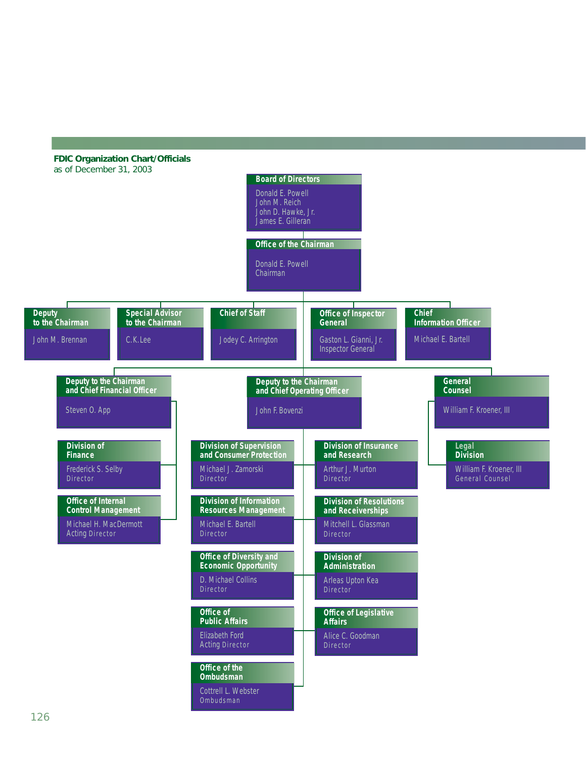# **FDIC Organization Chart/Officials**



**Ombudsman** Cottrell L. Webster Ombudsman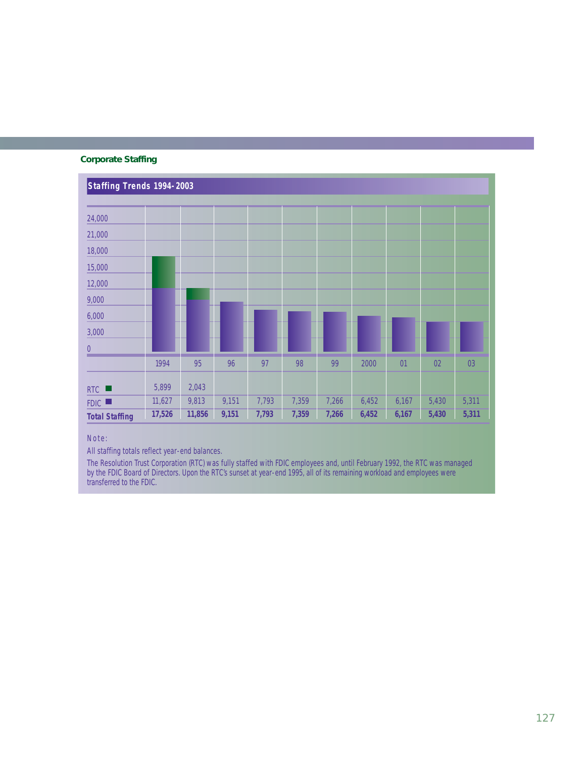# **Corporate Staffing**



Note:

All staffing totals reflect year-end balances.

The Resolution Trust Corporation (RTC) was fully staffed with FDIC employees and, until February 1992, the RTC was managed by the FDIC Board of Directors. Upon the RTC's sunset at year-end 1995, all of its remaining workload and employees were transferred to the FDIC.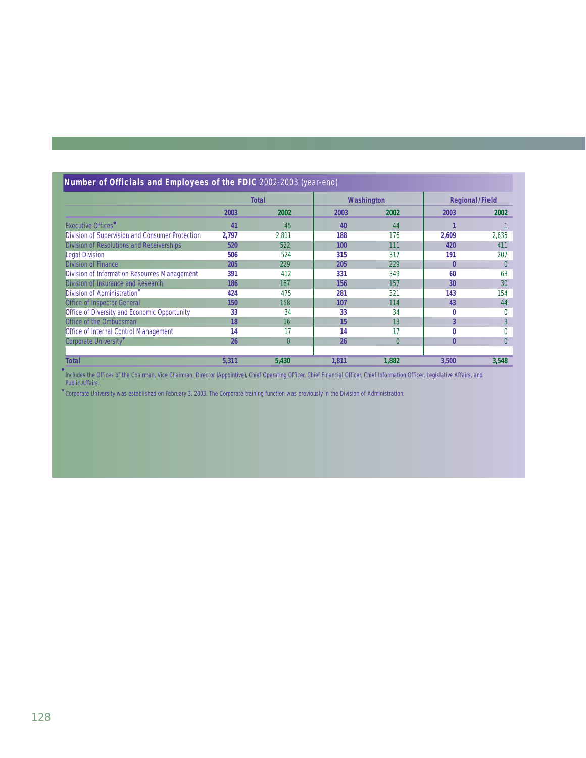|                                                 | <b>Total</b> |                | Washington |          | <b>Regional/Field</b> |          |
|-------------------------------------------------|--------------|----------------|------------|----------|-----------------------|----------|
|                                                 | 2003         | 2002           | 2003       | 2002     | 2003                  | 2002     |
| <b>Executive Offices</b>                        | 41           | 45             | 40         | 44       |                       |          |
| Division of Supervision and Consumer Protection | 2,797        | 2,811          | 188        | 176      | 2,609                 | 2,635    |
| Division of Resolutions and Receiverships       | 520          | 522            | 100        | 111      | 420                   | 411      |
| Legal Division                                  | 506          | 524            | 315        | 317      | 191                   | 207      |
| <b>Division of Finance</b>                      | 205          | 229            | 205        | 229      | $\bf{0}$              | $\Omega$ |
| Division of Information Resources Management    | 391          | 412            | 331        | 349      | 60                    | 63       |
| Division of Insurance and Research              | 186          | 187            | 156        | 157      | 30                    | 30       |
| Division of Administration                      | 424          | 475            | 281        | 321      | 143                   | 154      |
| <b>Office of Inspector General</b>              | 150          | 158            | 107        | 114      | 43                    | 44       |
| Office of Diversity and Economic Opportunity    | 33           | 34             | 33         | 34       | 0                     | $\Omega$ |
| Office of the Ombudsman                         | 18           | 16             | 15         | 13       | 3                     | 3        |
| <b>Office of Internal Control Management</b>    | 14           | 17             | 14         | 17       | $\bf{0}$              | $\Omega$ |
| Corporate University <sup>v</sup>               | 26           | $\overline{0}$ | 26         | $\Omega$ | $\bf{0}$              | $\Omega$ |
| <b>Total</b>                                    | 5,311        | 5,430          | 1,811      | 1,882    | 3,500                 | 3,548    |

Includes the Offices of the Chairman, Vice Chairman, Director (Appointive), Chief Operating Officer, Chief Financial Officer, Chief Information Officer, Legislative Affairs, and Public Affairs. ●

Corporate University was established on February 3, 2003. The Corporate training function was previously in the Division of Administration. ▼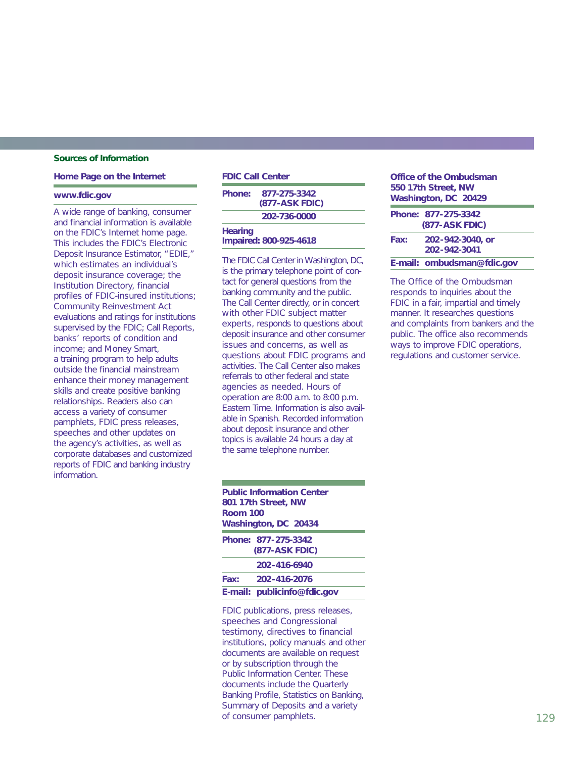### **Sources of Information**

#### **Home Page on the Internet**

### **www.fdic.gov**

A wide range of banking, consumer and financial information is available on the FDIC's Internet home page. This includes the FDIC's Electronic Deposit Insurance Estimator, "EDIE," which estimates an individual's deposit insurance coverage; the Institution Directory, financial profiles of FDIC-insured institutions; Community Reinvestment Act evaluations and ratings for institutions supervised by the FDIC; Call Reports, banks' reports of condition and income; and *Money Smart,* a training program to help adults outside the financial mainstream enhance their money management skills and create positive banking relationships. Readers also can access a variety of consumer pamphlets, FDIC press releases, speeches and other updates on the agency's activities, as well as corporate databases and customized reports of FDIC and banking industry information.

# **FDIC Call Center Phone: 877-275-3342 (877-ASK FDIC) 202-736-0000 Hearing**

**Impaired: 800-925-4618**

The FDIC Call Center in Washington, DC, is the primary telephone point of contact for general questions from the banking community and the public. The Call Center directly, or in concert with other FDIC subject matter experts, responds to questions about deposit insurance and other consumer issues and concerns, as well as questions about FDIC programs and activities. The Call Center also makes referrals to other federal and state agencies as needed. Hours of operation are 8:00 a.m. to 8:00 p.m. Eastern Time. Information is also available in Spanish. Recorded information about deposit insurance and other topics is available 24 hours a day at the same telephone number.

# **Public Information Center 801 17th Street, NW Room 100 Washington, DC 20434 Phone: 877-275-3342 (877-ASK FDIC) 202-416-6940 Fax: 202-416-2076 E-mail: publicinfo@fdic.gov**

FDIC publications, press releases, speeches and Congressional testimony, directives to financial institutions, policy manuals and other documents are available on request or by subscription through the Public Information Center. These documents include the *Quarterly Banking Profile, Statistics on Banking, Summary of Deposits* and a variety of consumer pamphlets.

| Office of the Ombudsman<br>550 17th Street, NW<br>Washington, DC 20429 |                                              |  |
|------------------------------------------------------------------------|----------------------------------------------|--|
|                                                                        | Phone: 877-275-3342<br><b>(877-ASK FDIC)</b> |  |
| Fax:                                                                   | 202-942-3040, or<br>202-942-3041             |  |
|                                                                        | E-mail: ombudsman@fdic.gov                   |  |

The Office of the Ombudsman responds to inquiries about the FDIC in a fair, impartial and timely manner. It researches questions and complaints from bankers and the public. The office also recommends ways to improve FDIC operations, regulations and customer service.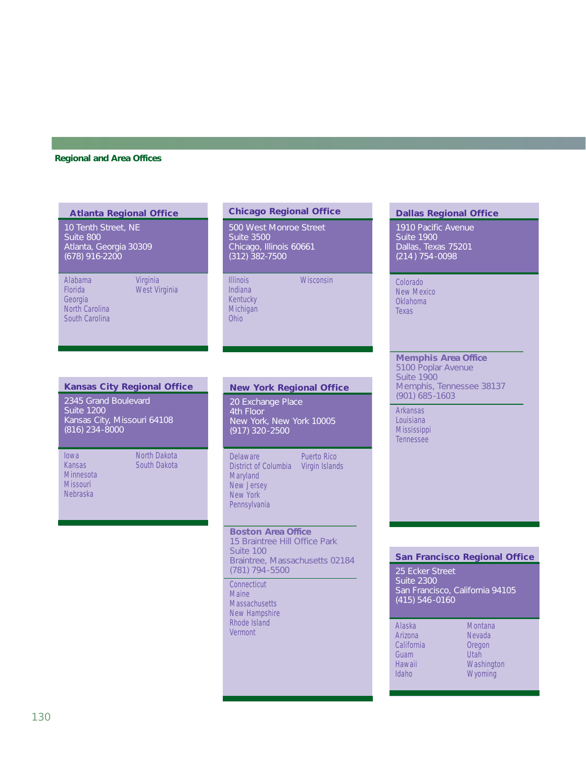### **Regional and Area Offices**

| <b>Atlanta Regional Office</b>                                                 |                           |  |
|--------------------------------------------------------------------------------|---------------------------|--|
| 10 Tenth Street, NE<br>Suite 800<br>Atlanta, Georgia 30309<br>$(678)$ 916-2200 |                           |  |
| Alabama<br>Florida<br>Georgia<br>North Carolina<br>South Carolina              | Virginia<br>West Virginia |  |

# **Chicago Regional Office**

500 West Monroe Street Suite 3500 Chicago, Illinois 60661 (312) 382-7500

Illinois Wisconsin Indiana Kentucky **Michigan** Ohio

# **Dallas Regional Office**

1910 Pacific Avenue Suite 1900 Dallas, Texas 75201 (214 ) 754-0098

Colorado New Mexico Oklahoma Texas

## **Memphis Area Office**

5100 Poplar Avenue Suite 1900 Memphis, Tennessee 38137 (901) 685-1603

Arkansas Louisiana **Mississippi** Tennessee

### **Kansas City Regional Office**

2345 Grand Boulevard Suite 1200 Kansas City, Missouri 64108 (816) 234-8000

Minnesota Missouri Nebraska

Iowa North Dakota<br>
Kansas South Dakota South Dakota

# **New York Regional Office**

20 Exchange Place 4th Floor New York, New York 10005 (917) 320-2500

District of Columbia Virgin Islands **Maryland** New Jersey New York **Pennsylvania** 

Delaware Puerto Rico

**Boston Area Office**

15 Braintree Hill Office Park Suite 100 Braintree, Massachusetts 02184 (781) 794-5500

**Connecticut** Maine **Massachusetts** New Hampshire Rhode Island Vermont

### **San Francisco Regional Office**

25 Ecker Street Suite 2300 San Francisco, California 94105 (415) 546-0160

| Alaska     | Montana    |
|------------|------------|
| Arizona    | Nevada     |
| California | Oregon     |
| Guam       | Utah       |
| Hawaii     | Washington |
| Idaho      | Wyoming    |
|            |            |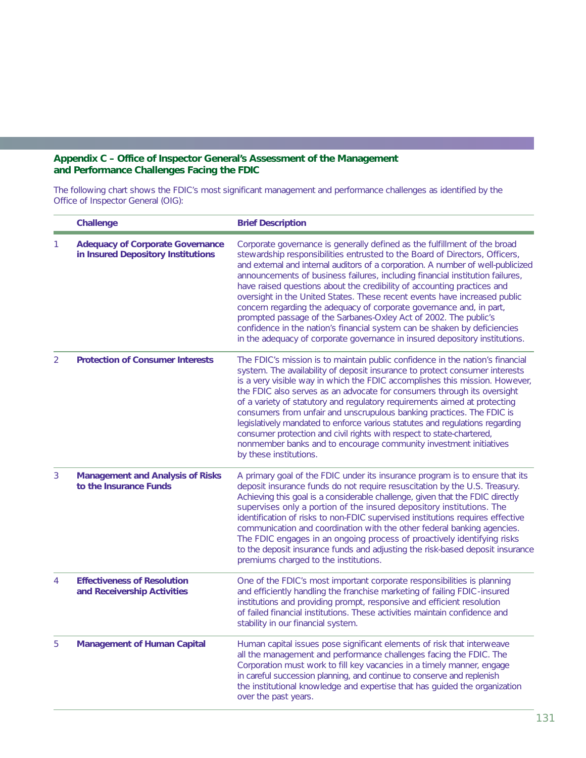# **Appendix C – Office of Inspector General's Assessment of the Management and Performance Challenges Facing the FDIC**

The following chart shows the FDIC's most significant management and performance challenges as identified by the Office of Inspector General (OIG):

|                | Challenge                                                                     | <b>Brief Description</b>                                                                                                                                                                                                                                                                                                                                                                                                                                                                                                                                                                                                                                                                                                                                                                      |
|----------------|-------------------------------------------------------------------------------|-----------------------------------------------------------------------------------------------------------------------------------------------------------------------------------------------------------------------------------------------------------------------------------------------------------------------------------------------------------------------------------------------------------------------------------------------------------------------------------------------------------------------------------------------------------------------------------------------------------------------------------------------------------------------------------------------------------------------------------------------------------------------------------------------|
| 1              | <b>Adequacy of Corporate Governance</b><br>in Insured Depository Institutions | Corporate governance is generally defined as the fulfillment of the broad<br>stewardship responsibilities entrusted to the Board of Directors, Officers,<br>and external and internal auditors of a corporation. A number of well-publicized<br>announcements of business failures, including financial institution failures,<br>have raised questions about the credibility of accounting practices and<br>oversight in the United States. These recent events have increased public<br>concern regarding the adequacy of corporate governance and, in part,<br>prompted passage of the Sarbanes-Oxley Act of 2002. The public's<br>confidence in the nation's financial system can be shaken by deficiencies<br>in the adequacy of corporate governance in insured depository institutions. |
| $\overline{2}$ | <b>Protection of Consumer Interests</b>                                       | The FDIC's mission is to maintain public confidence in the nation's financial<br>system. The availability of deposit insurance to protect consumer interests<br>is a very visible way in which the FDIC accomplishes this mission. However,<br>the FDIC also serves as an advocate for consumers through its oversight<br>of a variety of statutory and regulatory requirements aimed at protecting<br>consumers from unfair and unscrupulous banking practices. The FDIC is<br>legislatively mandated to enforce various statutes and regulations regarding<br>consumer protection and civil rights with respect to state-chartered,<br>nonmember banks and to encourage community investment initiatives<br>by these institutions.                                                          |
| 3              | <b>Management and Analysis of Risks</b><br>to the Insurance Funds             | A primary goal of the FDIC under its insurance program is to ensure that its<br>deposit insurance funds do not require resuscitation by the U.S. Treasury.<br>Achieving this goal is a considerable challenge, given that the FDIC directly<br>supervises only a portion of the insured depository institutions. The<br>identification of risks to non-FDIC supervised institutions requires effective<br>communication and coordination with the other federal banking agencies.<br>The FDIC engages in an ongoing process of proactively identifying risks<br>to the deposit insurance funds and adjusting the risk-based deposit insurance<br>premiums charged to the institutions.                                                                                                        |
| 4              | <b>Effectiveness of Resolution</b><br>and Receivership Activities             | One of the FDIC's most important corporate responsibilities is planning<br>and efficiently handling the franchise marketing of failing FDIC-insured<br>institutions and providing prompt, responsive and efficient resolution<br>of failed financial institutions. These activities maintain confidence and<br>stability in our financial system.                                                                                                                                                                                                                                                                                                                                                                                                                                             |
| 5              | <b>Management of Human Capital</b>                                            | Human capital issues pose significant elements of risk that interweave<br>all the management and performance challenges facing the FDIC. The<br>Corporation must work to fill key vacancies in a timely manner, engage<br>in careful succession planning, and continue to conserve and replenish<br>the institutional knowledge and expertise that has guided the organization<br>over the past years.                                                                                                                                                                                                                                                                                                                                                                                        |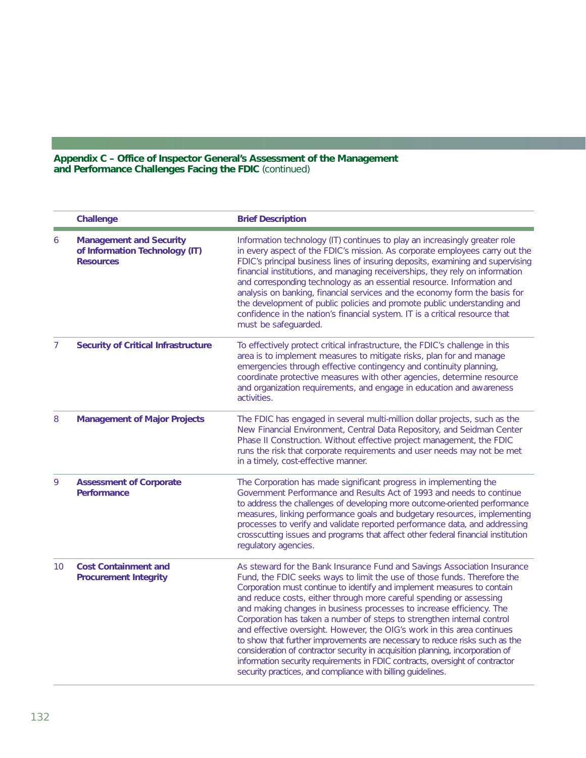## **Appendix C – Office of Inspector General's Assessment of the Management and Performance Challenges Facing the FDIC** (continued)

|    | Challenge                                                                            | <b>Brief Description</b>                                                                                                                                                                                                                                                                                                                                                                                                                                                                                                                                                                                                                                                                                                                                                                                                                            |
|----|--------------------------------------------------------------------------------------|-----------------------------------------------------------------------------------------------------------------------------------------------------------------------------------------------------------------------------------------------------------------------------------------------------------------------------------------------------------------------------------------------------------------------------------------------------------------------------------------------------------------------------------------------------------------------------------------------------------------------------------------------------------------------------------------------------------------------------------------------------------------------------------------------------------------------------------------------------|
| 6  | <b>Management and Security</b><br>of Information Technology (IT)<br><b>Resources</b> | Information technology (IT) continues to play an increasingly greater role<br>in every aspect of the FDIC's mission. As corporate employees carry out the<br>FDIC's principal business lines of insuring deposits, examining and supervising<br>financial institutions, and managing receiverships, they rely on information<br>and corresponding technology as an essential resource. Information and<br>analysis on banking, financial services and the economy form the basis for<br>the development of public policies and promote public understanding and<br>confidence in the nation's financial system. IT is a critical resource that<br>must be safeguarded.                                                                                                                                                                              |
| 7  | <b>Security of Critical Infrastructure</b>                                           | To effectively protect critical infrastructure, the FDIC's challenge in this<br>area is to implement measures to mitigate risks, plan for and manage<br>emergencies through effective contingency and continuity planning,<br>coordinate protective measures with other agencies, determine resource<br>and organization requirements, and engage in education and awareness<br>activities.                                                                                                                                                                                                                                                                                                                                                                                                                                                         |
| 8  | <b>Management of Major Projects</b>                                                  | The FDIC has engaged in several multi-million dollar projects, such as the<br>New Financial Environment, Central Data Repository, and Seidman Center<br>Phase II Construction. Without effective project management, the FDIC<br>runs the risk that corporate requirements and user needs may not be met<br>in a timely, cost-effective manner.                                                                                                                                                                                                                                                                                                                                                                                                                                                                                                     |
| 9  | <b>Assessment of Corporate</b><br><b>Performance</b>                                 | The Corporation has made significant progress in implementing the<br>Government Performance and Results Act of 1993 and needs to continue<br>to address the challenges of developing more outcome-oriented performance<br>measures, linking performance goals and budgetary resources, implementing<br>processes to verify and validate reported performance data, and addressing<br>crosscutting issues and programs that affect other federal financial institution<br>regulatory agencies.                                                                                                                                                                                                                                                                                                                                                       |
| 10 | <b>Cost Containment and</b><br><b>Procurement Integrity</b>                          | As steward for the Bank Insurance Fund and Savings Association Insurance<br>Fund, the FDIC seeks ways to limit the use of those funds. Therefore the<br>Corporation must continue to identify and implement measures to contain<br>and reduce costs, either through more careful spending or assessing<br>and making changes in business processes to increase efficiency. The<br>Corporation has taken a number of steps to strengthen internal control<br>and effective oversight. However, the OIG's work in this area continues<br>to show that further improvements are necessary to reduce risks such as the<br>consideration of contractor security in acquisition planning, incorporation of<br>information security requirements in FDIC contracts, oversight of contractor<br>security practices, and compliance with billing guidelines. |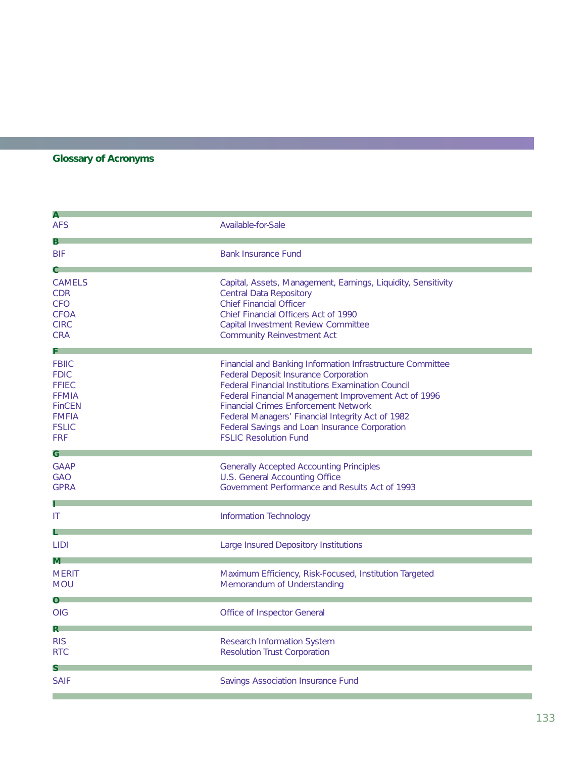# **Glossary of Acronyms**

| A                                                                                                                          |                                                                                                                                                                                                                                                                                                                                                                                                                       |
|----------------------------------------------------------------------------------------------------------------------------|-----------------------------------------------------------------------------------------------------------------------------------------------------------------------------------------------------------------------------------------------------------------------------------------------------------------------------------------------------------------------------------------------------------------------|
| <b>AFS</b>                                                                                                                 | Available-for-Sale                                                                                                                                                                                                                                                                                                                                                                                                    |
| B.<br><b>BIF</b><br>$\mathbf{c}$                                                                                           | <b>Bank Insurance Fund</b>                                                                                                                                                                                                                                                                                                                                                                                            |
| <b>CAMELS</b><br><b>CDR</b><br><b>CFO</b><br><b>CFOA</b><br><b>CIRC</b><br><b>CRA</b>                                      | Capital, Assets, Management, Earnings, Liquidity, Sensitivity<br><b>Central Data Repository</b><br><b>Chief Financial Officer</b><br>Chief Financial Officers Act of 1990<br>Capital Investment Review Committee<br><b>Community Reinvestment Act</b>                                                                                                                                                                 |
| <b>FBIIC</b><br><b>FDIC</b><br><b>FFIEC</b><br><b>FFMIA</b><br><b>FinCEN</b><br><b>FMFIA</b><br><b>FSLIC</b><br><b>FRF</b> | Financial and Banking Information Infrastructure Committee<br><b>Federal Deposit Insurance Corporation</b><br><b>Federal Financial Institutions Examination Council</b><br>Federal Financial Management Improvement Act of 1996<br><b>Financial Crimes Enforcement Network</b><br>Federal Managers' Financial Integrity Act of 1982<br>Federal Savings and Loan Insurance Corporation<br><b>FSLIC Resolution Fund</b> |
| G.<br><b>GAAP</b><br><b>GAO</b><br><b>GPRA</b>                                                                             | <b>Generally Accepted Accounting Principles</b><br>U.S. General Accounting Office<br>Government Performance and Results Act of 1993                                                                                                                                                                                                                                                                                   |
| Ш                                                                                                                          | Information Technology                                                                                                                                                                                                                                                                                                                                                                                                |
| <b>LIDI</b>                                                                                                                | Large Insured Depository Institutions                                                                                                                                                                                                                                                                                                                                                                                 |
| M.<br><b>MERIT</b><br><b>MOU</b>                                                                                           | Maximum Efficiency, Risk-Focused, Institution Targeted<br>Memorandum of Understanding                                                                                                                                                                                                                                                                                                                                 |
| <b>OIG</b>                                                                                                                 | Office of Inspector General                                                                                                                                                                                                                                                                                                                                                                                           |
| $\mathsf{R}^-$<br><b>RIS</b><br><b>RTC</b>                                                                                 | Research Information System<br><b>Resolution Trust Corporation</b>                                                                                                                                                                                                                                                                                                                                                    |
| S.<br><b>SAIF</b>                                                                                                          | Savings Association Insurance Fund                                                                                                                                                                                                                                                                                                                                                                                    |